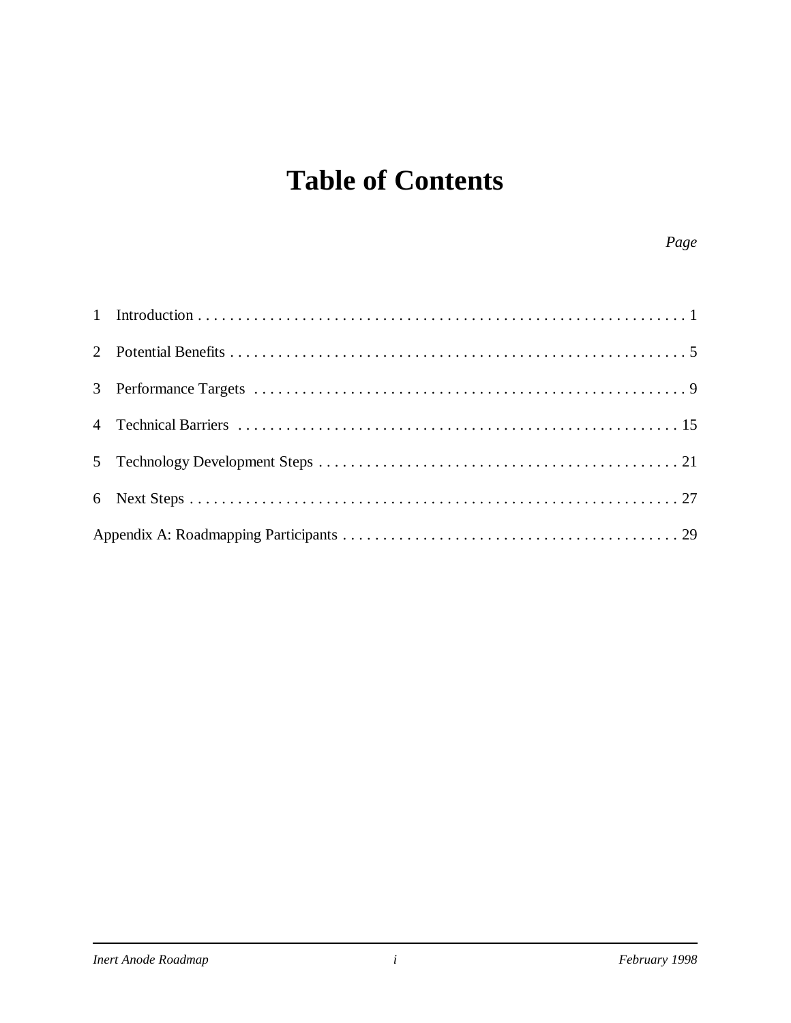## **Table of Contents**

#### *Page*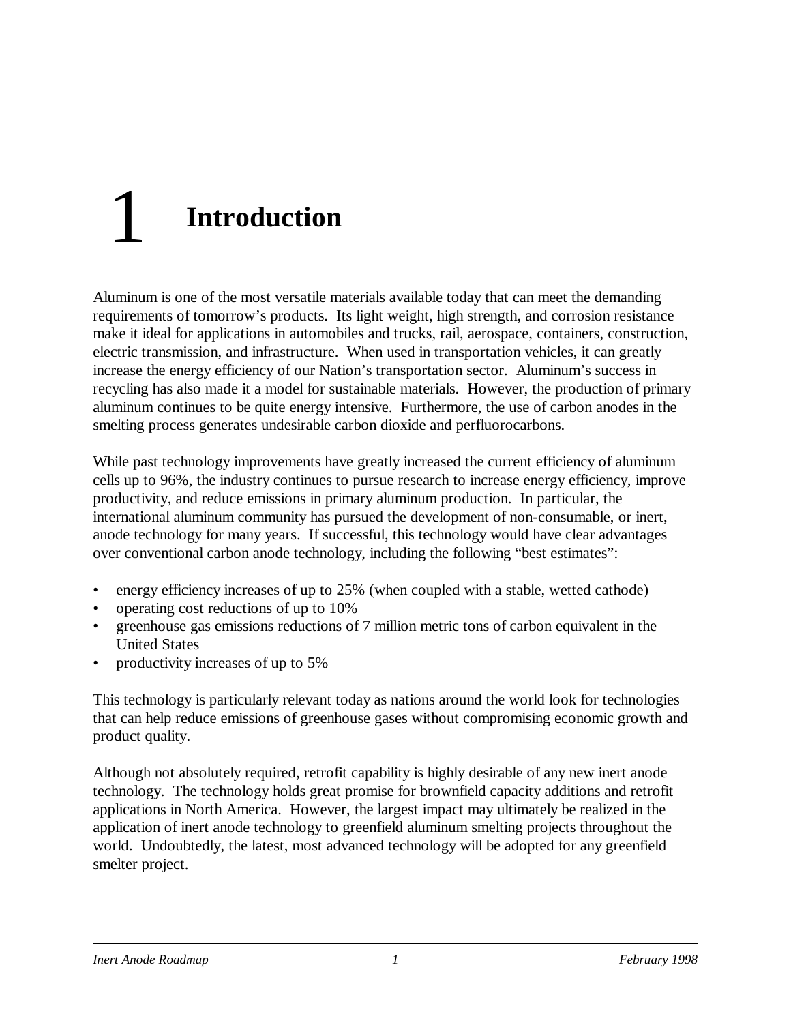# 1 **Introduction**

Aluminum is one of the most versatile materials available today that can meet the demanding requirements of tomorrow's products. Its light weight, high strength, and corrosion resistance make it ideal for applications in automobiles and trucks, rail, aerospace, containers, construction, electric transmission, and infrastructure. When used in transportation vehicles, it can greatly increase the energy efficiency of our Nation's transportation sector. Aluminum's success in recycling has also made it a model for sustainable materials. However, the production of primary aluminum continues to be quite energy intensive. Furthermore, the use of carbon anodes in the smelting process generates undesirable carbon dioxide and perfluorocarbons.

While past technology improvements have greatly increased the current efficiency of aluminum cells up to 96%, the industry continues to pursue research to increase energy efficiency, improve productivity, and reduce emissions in primary aluminum production. In particular, the international aluminum community has pursued the development of non-consumable, or inert, anode technology for many years. If successful, this technology would have clear advantages over conventional carbon anode technology, including the following "best estimates":

- energy efficiency increases of up to 25% (when coupled with a stable, wetted cathode)
- operating cost reductions of up to 10%
- greenhouse gas emissions reductions of 7 million metric tons of carbon equivalent in the United States
- productivity increases of up to 5%

This technology is particularly relevant today as nations around the world look for technologies that can help reduce emissions of greenhouse gases without compromising economic growth and product quality.

Although not absolutely required, retrofit capability is highly desirable of any new inert anode technology. The technology holds great promise for brownfield capacity additions and retrofit applications in North America. However, the largest impact may ultimately be realized in the application of inert anode technology to greenfield aluminum smelting projects throughout the world. Undoubtedly, the latest, most advanced technology will be adopted for any greenfield smelter project.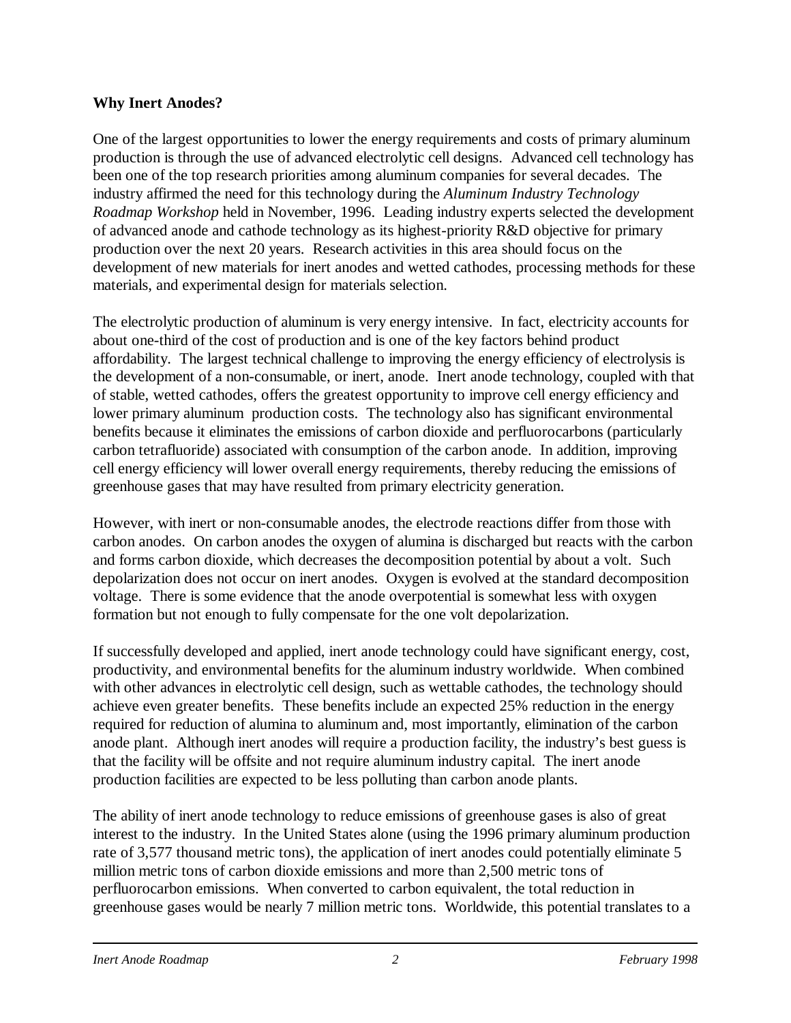#### **Why Inert Anodes?**

One of the largest opportunities to lower the energy requirements and costs of primary aluminum production is through the use of advanced electrolytic cell designs. Advanced cell technology has been one of the top research priorities among aluminum companies for several decades. The industry affirmed the need for this technology during the *Aluminum Industry Technology Roadmap Workshop* held in November, 1996. Leading industry experts selected the development of advanced anode and cathode technology as its highest-priority R&D objective for primary production over the next 20 years. Research activities in this area should focus on the development of new materials for inert anodes and wetted cathodes, processing methods for these materials, and experimental design for materials selection.

The electrolytic production of aluminum is very energy intensive. In fact, electricity accounts for about one-third of the cost of production and is one of the key factors behind product affordability. The largest technical challenge to improving the energy efficiency of electrolysis is the development of a non-consumable, or inert, anode. Inert anode technology, coupled with that of stable, wetted cathodes, offers the greatest opportunity to improve cell energy efficiency and lower primary aluminum production costs. The technology also has significant environmental benefits because it eliminates the emissions of carbon dioxide and perfluorocarbons (particularly carbon tetrafluoride) associated with consumption of the carbon anode. In addition, improving cell energy efficiency will lower overall energy requirements, thereby reducing the emissions of greenhouse gases that may have resulted from primary electricity generation.

However, with inert or non-consumable anodes, the electrode reactions differ from those with carbon anodes. On carbon anodes the oxygen of alumina is discharged but reacts with the carbon and forms carbon dioxide, which decreases the decomposition potential by about a volt. Such depolarization does not occur on inert anodes. Oxygen is evolved at the standard decomposition voltage. There is some evidence that the anode overpotential is somewhat less with oxygen formation but not enough to fully compensate for the one volt depolarization.

If successfully developed and applied, inert anode technology could have significant energy, cost, productivity, and environmental benefits for the aluminum industry worldwide. When combined with other advances in electrolytic cell design, such as wettable cathodes, the technology should achieve even greater benefits. These benefits include an expected 25% reduction in the energy required for reduction of alumina to aluminum and, most importantly, elimination of the carbon anode plant. Although inert anodes will require a production facility, the industry's best guess is that the facility will be offsite and not require aluminum industry capital. The inert anode production facilities are expected to be less polluting than carbon anode plants.

The ability of inert anode technology to reduce emissions of greenhouse gases is also of great interest to the industry. In the United States alone (using the 1996 primary aluminum production rate of 3,577 thousand metric tons), the application of inert anodes could potentially eliminate 5 million metric tons of carbon dioxide emissions and more than 2,500 metric tons of perfluorocarbon emissions. When converted to carbon equivalent, the total reduction in greenhouse gases would be nearly 7 million metric tons. Worldwide, this potential translates to a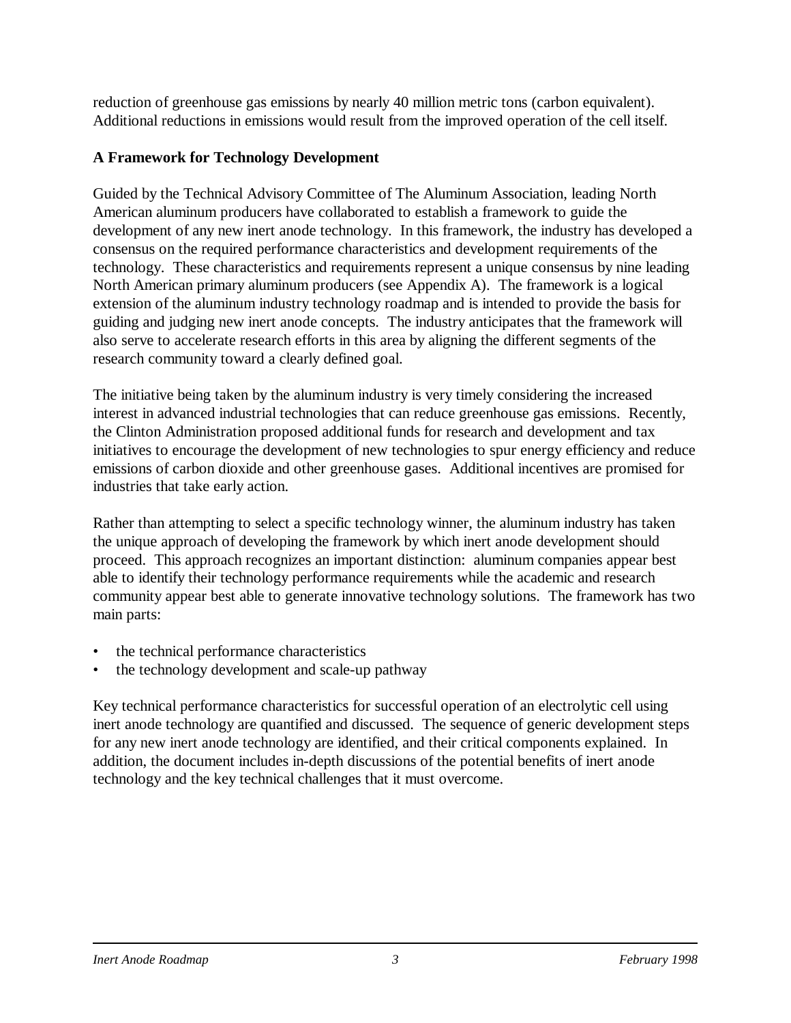reduction of greenhouse gas emissions by nearly 40 million metric tons (carbon equivalent). Additional reductions in emissions would result from the improved operation of the cell itself.

#### **A Framework for Technology Development**

Guided by the Technical Advisory Committee of The Aluminum Association, leading North American aluminum producers have collaborated to establish a framework to guide the development of any new inert anode technology. In this framework, the industry has developed a consensus on the required performance characteristics and development requirements of the technology. These characteristics and requirements represent a unique consensus by nine leading North American primary aluminum producers (see Appendix A). The framework is a logical extension of the aluminum industry technology roadmap and is intended to provide the basis for guiding and judging new inert anode concepts. The industry anticipates that the framework will also serve to accelerate research efforts in this area by aligning the different segments of the research community toward a clearly defined goal.

The initiative being taken by the aluminum industry is very timely considering the increased interest in advanced industrial technologies that can reduce greenhouse gas emissions. Recently, the Clinton Administration proposed additional funds for research and development and tax initiatives to encourage the development of new technologies to spur energy efficiency and reduce emissions of carbon dioxide and other greenhouse gases. Additional incentives are promised for industries that take early action.

Rather than attempting to select a specific technology winner, the aluminum industry has taken the unique approach of developing the framework by which inert anode development should proceed. This approach recognizes an important distinction: aluminum companies appear best able to identify their technology performance requirements while the academic and research community appear best able to generate innovative technology solutions. The framework has two main parts:

- the technical performance characteristics
- the technology development and scale-up pathway

Key technical performance characteristics for successful operation of an electrolytic cell using inert anode technology are quantified and discussed. The sequence of generic development steps for any new inert anode technology are identified, and their critical components explained. In addition, the document includes in-depth discussions of the potential benefits of inert anode technology and the key technical challenges that it must overcome.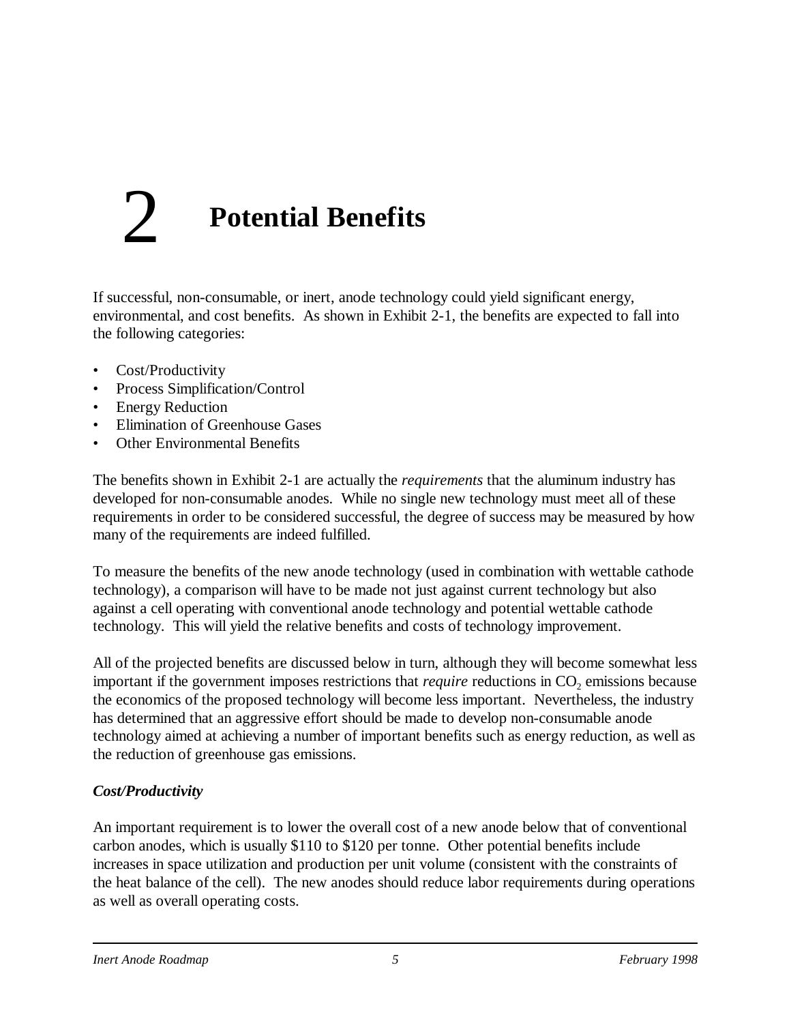# 2 **Potential Benefits**

If successful, non-consumable, or inert, anode technology could yield significant energy, environmental, and cost benefits. As shown in Exhibit 2-1, the benefits are expected to fall into the following categories:

- Cost/Productivity
- Process Simplification/Control
- Energy Reduction
- Elimination of Greenhouse Gases
- Other Environmental Benefits

The benefits shown in Exhibit 2-1 are actually the *requirements* that the aluminum industry has developed for non-consumable anodes. While no single new technology must meet all of these requirements in order to be considered successful, the degree of success may be measured by how many of the requirements are indeed fulfilled.

To measure the benefits of the new anode technology (used in combination with wettable cathode technology), a comparison will have to be made not just against current technology but also against a cell operating with conventional anode technology and potential wettable cathode technology. This will yield the relative benefits and costs of technology improvement.

All of the projected benefits are discussed below in turn, although they will become somewhat less important if the government imposes restrictions that *require* reductions in CO<sub>2</sub> emissions because the economics of the proposed technology will become less important. Nevertheless, the industry has determined that an aggressive effort should be made to develop non-consumable anode technology aimed at achieving a number of important benefits such as energy reduction, as well as the reduction of greenhouse gas emissions.

### *Cost/Productivity*

An important requirement is to lower the overall cost of a new anode below that of conventional carbon anodes, which is usually \$110 to \$120 per tonne. Other potential benefits include increases in space utilization and production per unit volume (consistent with the constraints of the heat balance of the cell). The new anodes should reduce labor requirements during operations as well as overall operating costs.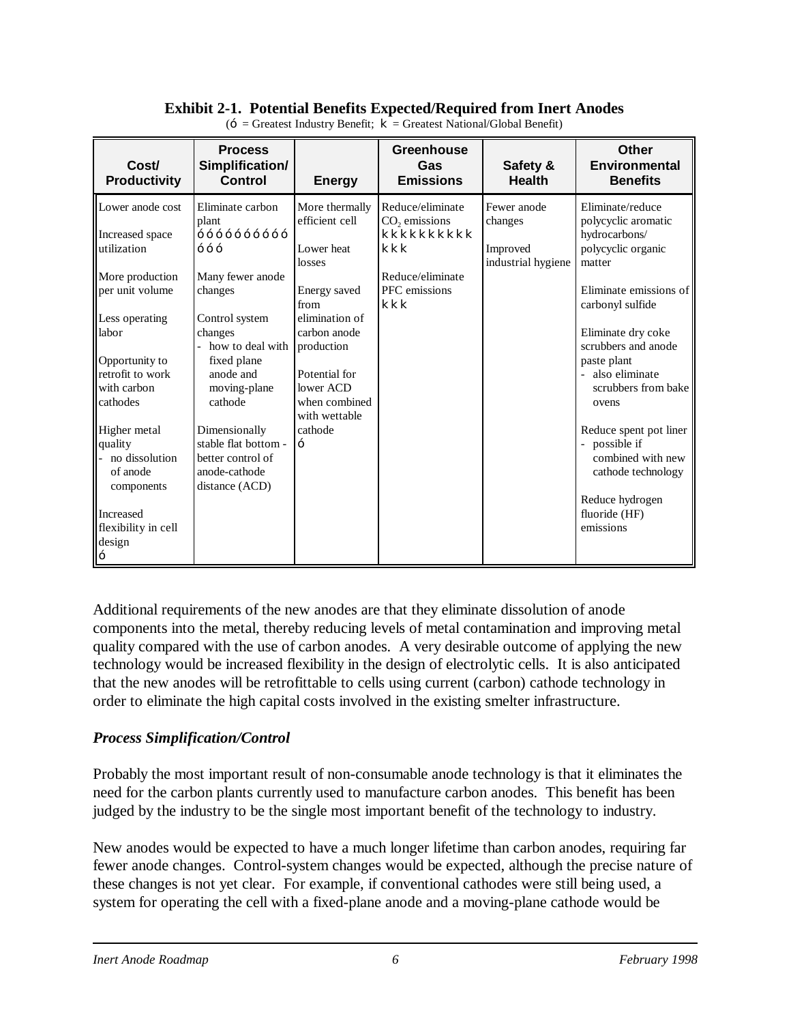#### **Exhibit 2-1. Potential Benefits Expected/Required from Inert Anodes**

| Cost/<br><b>Productivity</b>                                                                                                                                                                                                                                             | <b>Process</b><br>Simplification/<br><b>Control</b>                                                                                                                                                                                                               | <b>Energy</b>                                                                                                                                                                                               | <b>Greenhouse</b><br>Gas<br><b>Emissions</b>                                                         | Safety &<br><b>Health</b>                                | Other<br><b>Environmental</b><br><b>Benefits</b>                                                                                                                                                                                                                                                                                                                               |
|--------------------------------------------------------------------------------------------------------------------------------------------------------------------------------------------------------------------------------------------------------------------------|-------------------------------------------------------------------------------------------------------------------------------------------------------------------------------------------------------------------------------------------------------------------|-------------------------------------------------------------------------------------------------------------------------------------------------------------------------------------------------------------|------------------------------------------------------------------------------------------------------|----------------------------------------------------------|--------------------------------------------------------------------------------------------------------------------------------------------------------------------------------------------------------------------------------------------------------------------------------------------------------------------------------------------------------------------------------|
| Lower anode cost<br>Increased space<br>utilization<br>More production<br>per unit volume<br>Less operating<br>labor<br>Opportunity to<br>retrofit to work<br>with carbon<br>cathodes<br>Higher metal<br>quality<br>no dissolution<br>of anode<br>components<br>Increased | Eliminate carbon<br>plant<br>Many fewer anode<br>changes<br>Control system<br>changes<br>how to deal with<br>fixed plane<br>anode and<br>moving-plane<br>cathode<br>Dimensionally<br>stable flat bottom -<br>better control of<br>anode-cathode<br>distance (ACD) | More thermally<br>efficient cell<br>Lower heat<br>losses<br>Energy saved<br>from<br>elimination of<br>carbon anode<br>production<br>Potential for<br>lower ACD<br>when combined<br>with wettable<br>cathode | Reduce/eliminate<br>$CO2$ emissions<br>kkkkkkkkkk<br>kkk<br>Reduce/eliminate<br>PFC emissions<br>kkk | Fewer anode<br>changes<br>Improved<br>industrial hygiene | Eliminate/reduce<br>polycyclic aromatic<br>hydrocarbons/<br>polycyclic organic<br>matter<br>Eliminate emissions of<br>carbonyl sulfide<br>Eliminate dry coke<br>scrubbers and anode<br>paste plant<br>also eliminate<br>scrubbers from bake<br>ovens<br>Reduce spent pot liner<br>- possible if<br>combined with new<br>cathode technology<br>Reduce hydrogen<br>fluoride (HF) |
| flexibility in cell<br>design                                                                                                                                                                                                                                            |                                                                                                                                                                                                                                                                   |                                                                                                                                                                                                             |                                                                                                      |                                                          | emissions                                                                                                                                                                                                                                                                                                                                                                      |

 $(-$  = Greatest Industry Benefit;  $\mathbf{k}$  = Greatest National/Global Benefit)

Additional requirements of the new anodes are that they eliminate dissolution of anode components into the metal, thereby reducing levels of metal contamination and improving metal quality compared with the use of carbon anodes. A very desirable outcome of applying the new technology would be increased flexibility in the design of electrolytic cells. It is also anticipated that the new anodes will be retrofittable to cells using current (carbon) cathode technology in order to eliminate the high capital costs involved in the existing smelter infrastructure.

#### *Process Simplification/Control*

Probably the most important result of non-consumable anode technology is that it eliminates the need for the carbon plants currently used to manufacture carbon anodes. This benefit has been judged by the industry to be the single most important benefit of the technology to industry.

New anodes would be expected to have a much longer lifetime than carbon anodes, requiring far fewer anode changes. Control-system changes would be expected, although the precise nature of these changes is not yet clear. For example, if conventional cathodes were still being used, a system for operating the cell with a fixed-plane anode and a moving-plane cathode would be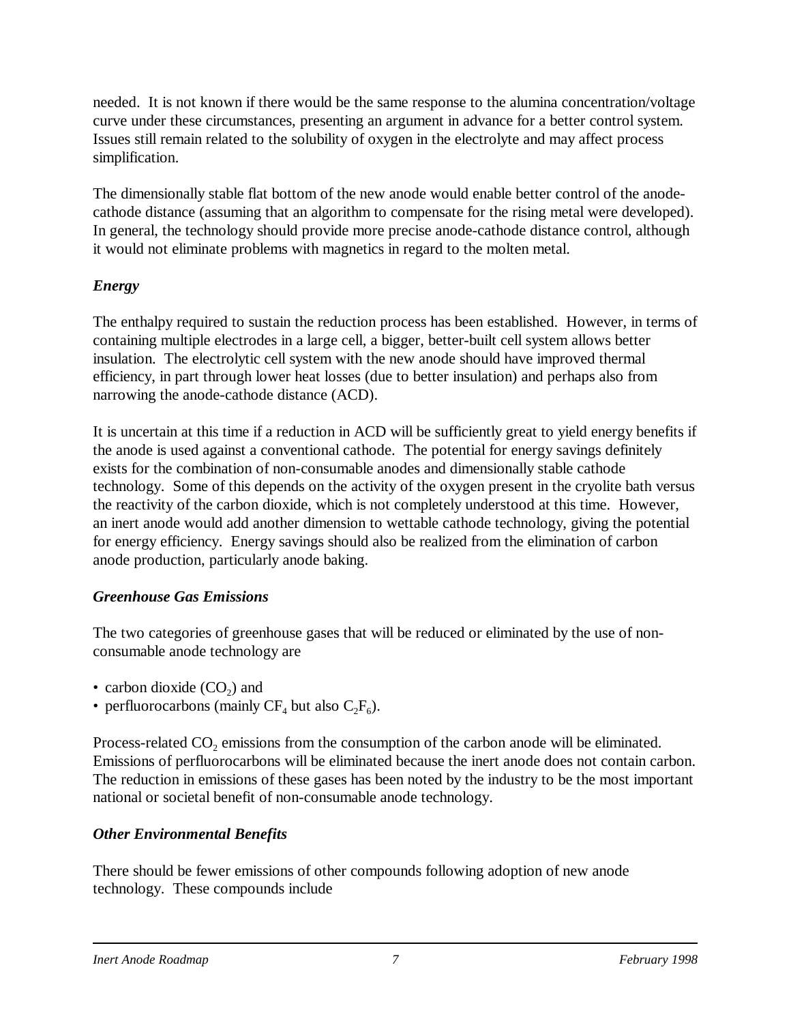needed. It is not known if there would be the same response to the alumina concentration/voltage curve under these circumstances, presenting an argument in advance for a better control system. Issues still remain related to the solubility of oxygen in the electrolyte and may affect process simplification.

The dimensionally stable flat bottom of the new anode would enable better control of the anodecathode distance (assuming that an algorithm to compensate for the rising metal were developed). In general, the technology should provide more precise anode-cathode distance control, although it would not eliminate problems with magnetics in regard to the molten metal.

#### *Energy*

The enthalpy required to sustain the reduction process has been established. However, in terms of containing multiple electrodes in a large cell, a bigger, better-built cell system allows better insulation. The electrolytic cell system with the new anode should have improved thermal efficiency, in part through lower heat losses (due to better insulation) and perhaps also from narrowing the anode-cathode distance (ACD).

It is uncertain at this time if a reduction in ACD will be sufficiently great to yield energy benefits if the anode is used against a conventional cathode. The potential for energy savings definitely exists for the combination of non-consumable anodes and dimensionally stable cathode technology. Some of this depends on the activity of the oxygen present in the cryolite bath versus the reactivity of the carbon dioxide, which is not completely understood at this time. However, an inert anode would add another dimension to wettable cathode technology, giving the potential for energy efficiency. Energy savings should also be realized from the elimination of carbon anode production, particularly anode baking.

### *Greenhouse Gas Emissions*

The two categories of greenhouse gases that will be reduced or eliminated by the use of nonconsumable anode technology are

- carbon dioxide  $(CO_2)$  and
- perfluorocarbons (mainly  $CF_4$  but also  $C_2F_6$ ).

Process-related  $CO_2$  emissions from the consumption of the carbon anode will be eliminated. Emissions of perfluorocarbons will be eliminated because the inert anode does not contain carbon. The reduction in emissions of these gases has been noted by the industry to be the most important national or societal benefit of non-consumable anode technology.

### *Other Environmental Benefits*

There should be fewer emissions of other compounds following adoption of new anode technology. These compounds include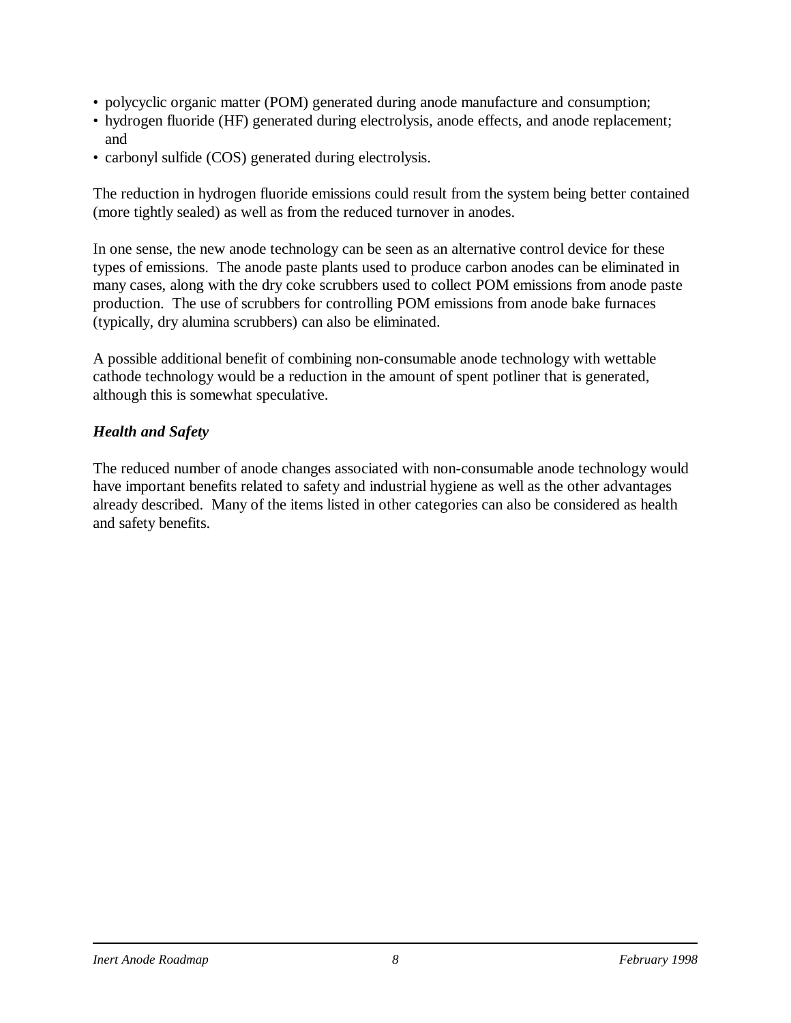- polycyclic organic matter (POM) generated during anode manufacture and consumption;
- hydrogen fluoride (HF) generated during electrolysis, anode effects, and anode replacement; and
- carbonyl sulfide (COS) generated during electrolysis.

The reduction in hydrogen fluoride emissions could result from the system being better contained (more tightly sealed) as well as from the reduced turnover in anodes.

In one sense, the new anode technology can be seen as an alternative control device for these types of emissions. The anode paste plants used to produce carbon anodes can be eliminated in many cases, along with the dry coke scrubbers used to collect POM emissions from anode paste production. The use of scrubbers for controlling POM emissions from anode bake furnaces (typically, dry alumina scrubbers) can also be eliminated.

A possible additional benefit of combining non-consumable anode technology with wettable cathode technology would be a reduction in the amount of spent potliner that is generated, although this is somewhat speculative.

#### *Health and Safety*

The reduced number of anode changes associated with non-consumable anode technology would have important benefits related to safety and industrial hygiene as well as the other advantages already described. Many of the items listed in other categories can also be considered as health and safety benefits.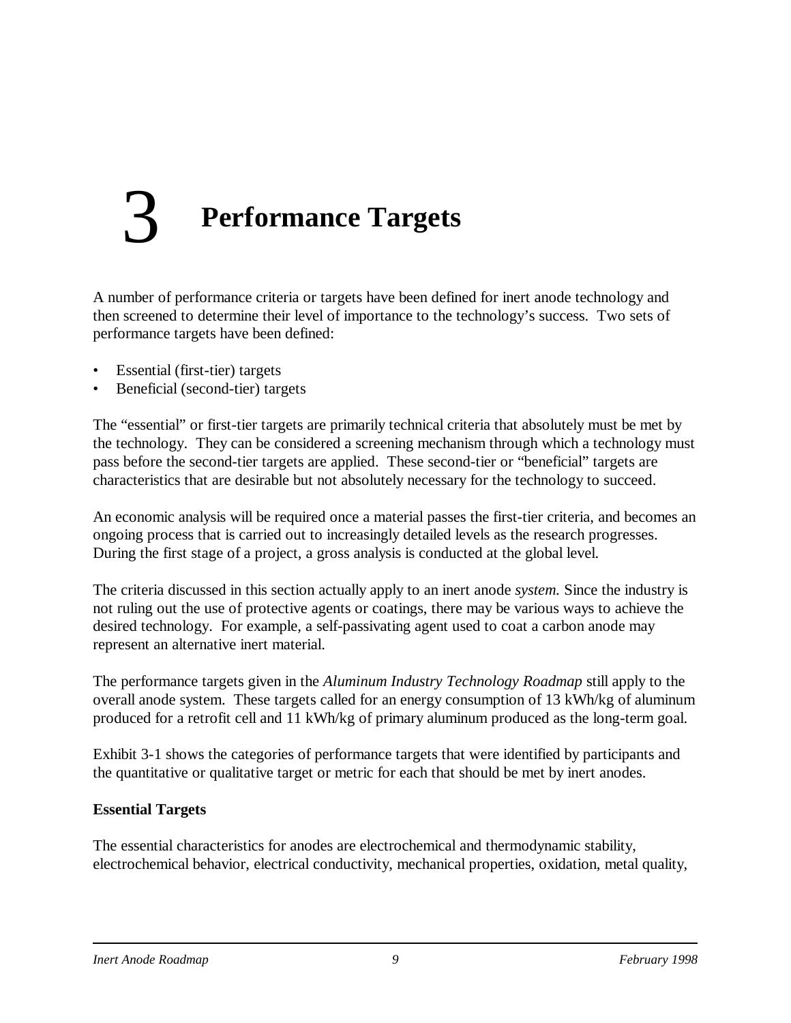# 3 **Performance Targets**

A number of performance criteria or targets have been defined for inert anode technology and then screened to determine their level of importance to the technology's success. Two sets of performance targets have been defined:

- Essential (first-tier) targets
- Beneficial (second-tier) targets

The "essential" or first-tier targets are primarily technical criteria that absolutely must be met by the technology. They can be considered a screening mechanism through which a technology must pass before the second-tier targets are applied. These second-tier or "beneficial" targets are characteristics that are desirable but not absolutely necessary for the technology to succeed.

An economic analysis will be required once a material passes the first-tier criteria, and becomes an ongoing process that is carried out to increasingly detailed levels as the research progresses. During the first stage of a project, a gross analysis is conducted at the global level.

The criteria discussed in this section actually apply to an inert anode *system.* Since the industry is not ruling out the use of protective agents or coatings, there may be various ways to achieve the desired technology. For example, a self-passivating agent used to coat a carbon anode may represent an alternative inert material.

The performance targets given in the *Aluminum Industry Technology Roadmap* still apply to the overall anode system. These targets called for an energy consumption of 13 kWh/kg of aluminum produced for a retrofit cell and 11 kWh/kg of primary aluminum produced as the long-term goal.

Exhibit 3-1 shows the categories of performance targets that were identified by participants and the quantitative or qualitative target or metric for each that should be met by inert anodes.

#### **Essential Targets**

The essential characteristics for anodes are electrochemical and thermodynamic stability, electrochemical behavior, electrical conductivity, mechanical properties, oxidation, metal quality,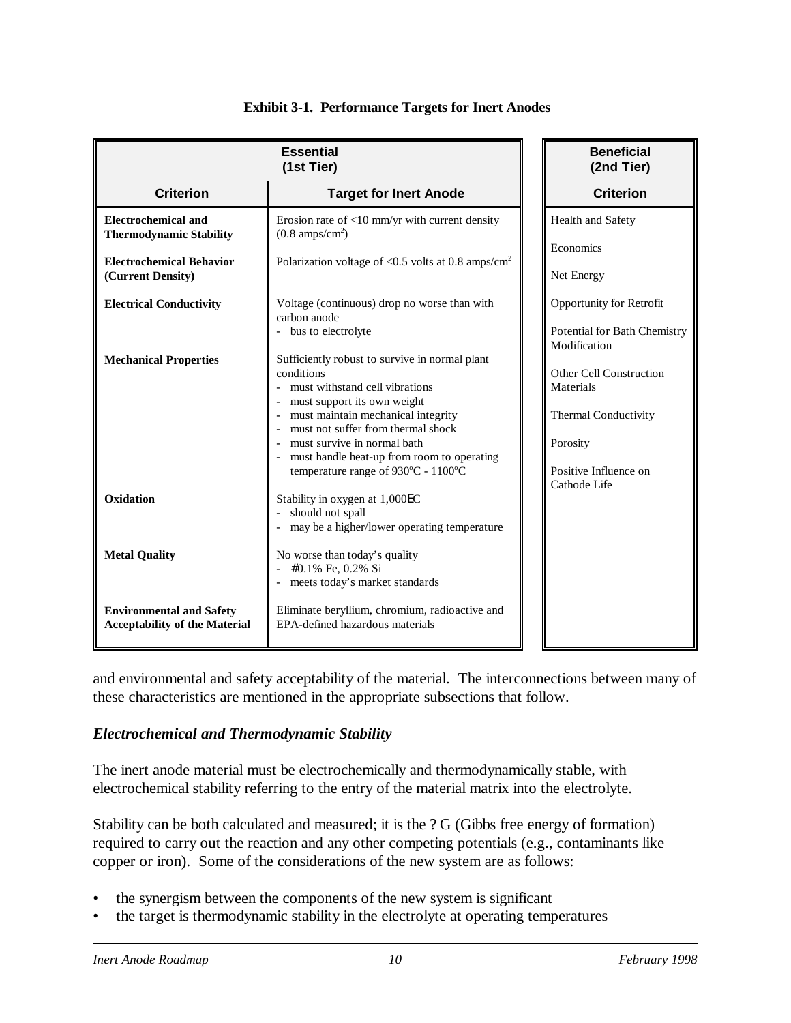|                                                                         | <b>Beneficial</b><br>(2nd Tier)                                                                                                                                                                                                                                                                                               |                                                                                                                          |
|-------------------------------------------------------------------------|-------------------------------------------------------------------------------------------------------------------------------------------------------------------------------------------------------------------------------------------------------------------------------------------------------------------------------|--------------------------------------------------------------------------------------------------------------------------|
| <b>Criterion</b>                                                        | <b>Target for Inert Anode</b>                                                                                                                                                                                                                                                                                                 | <b>Criterion</b>                                                                                                         |
| <b>Electrochemical and</b><br><b>Thermodynamic Stability</b>            | Erosion rate of $<$ 10 mm/yr with current density<br>$(0.8 \text{ amps/cm}^2)$                                                                                                                                                                                                                                                | Health and Safety<br>Economics                                                                                           |
| <b>Electrochemical Behavior</b><br>(Current Density)                    | Polarization voltage of $< 0.5$ volts at 0.8 amps/cm <sup>2</sup>                                                                                                                                                                                                                                                             | Net Energy                                                                                                               |
| <b>Electrical Conductivity</b>                                          | Voltage (continuous) drop no worse than with<br>carbon anode<br>- bus to electrolyte                                                                                                                                                                                                                                          | Opportunity for Retrofit<br>Potential for Bath Chemistry                                                                 |
| <b>Mechanical Properties</b>                                            | Sufficiently robust to survive in normal plant<br>conditions<br>must withstand cell vibrations<br>must support its own weight<br>must maintain mechanical integrity<br>must not suffer from thermal shock<br>must survive in normal bath<br>must handle heat-up from room to operating<br>temperature range of 930°C - 1100°C | Modification<br>Other Cell Construction<br>Materials<br><b>Thermal Conductivity</b><br>Porosity<br>Positive Influence on |
| Oxidation                                                               | Stability in oxygen at 1,000EC<br>should not spall<br>may be a higher/lower operating temperature                                                                                                                                                                                                                             | Cathode Life                                                                                                             |
| <b>Metal Quality</b>                                                    | No worse than today's quality<br>#0.1% Fe, 0.2% Si<br>meets today's market standards                                                                                                                                                                                                                                          |                                                                                                                          |
| <b>Environmental and Safety</b><br><b>Acceptability of the Material</b> | Eliminate beryllium, chromium, radioactive and<br>EPA-defined hazardous materials                                                                                                                                                                                                                                             |                                                                                                                          |

#### **Exhibit 3-1. Performance Targets for Inert Anodes**

and environmental and safety acceptability of the material. The interconnections between many of these characteristics are mentioned in the appropriate subsections that follow.

#### *Electrochemical and Thermodynamic Stability*

The inert anode material must be electrochemically and thermodynamically stable, with electrochemical stability referring to the entry of the material matrix into the electrolyte.

Stability can be both calculated and measured; it is the ? G (Gibbs free energy of formation) required to carry out the reaction and any other competing potentials (e.g., contaminants like copper or iron). Some of the considerations of the new system are as follows:

- the synergism between the components of the new system is significant
- the target is thermodynamic stability in the electrolyte at operating temperatures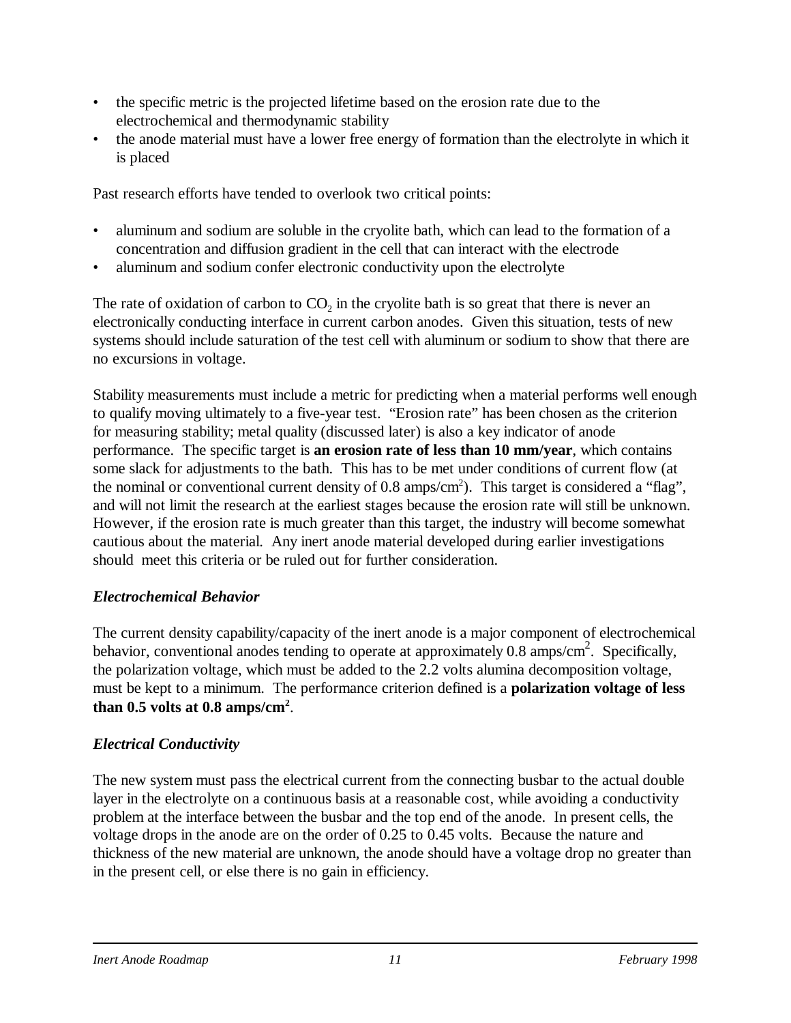- the specific metric is the projected lifetime based on the erosion rate due to the electrochemical and thermodynamic stability
- the anode material must have a lower free energy of formation than the electrolyte in which it is placed

Past research efforts have tended to overlook two critical points:

- aluminum and sodium are soluble in the cryolite bath, which can lead to the formation of a concentration and diffusion gradient in the cell that can interact with the electrode
- aluminum and sodium confer electronic conductivity upon the electrolyte

The rate of oxidation of carbon to  $CO_2$  in the cryolite bath is so great that there is never an electronically conducting interface in current carbon anodes. Given this situation, tests of new systems should include saturation of the test cell with aluminum or sodium to show that there are no excursions in voltage.

Stability measurements must include a metric for predicting when a material performs well enough to qualify moving ultimately to a five-year test. "Erosion rate" has been chosen as the criterion for measuring stability; metal quality (discussed later) is also a key indicator of anode performance. The specific target is **an erosion rate of less than 10 mm/year**, which contains some slack for adjustments to the bath. This has to be met under conditions of current flow (at the nominal or conventional current density of  $0.8 \text{ amps/cm}^2$ ). This target is considered a "flag", and will not limit the research at the earliest stages because the erosion rate will still be unknown. However, if the erosion rate is much greater than this target, the industry will become somewhat cautious about the material. Any inert anode material developed during earlier investigations should meet this criteria or be ruled out for further consideration.

### *Electrochemical Behavior*

The current density capability/capacity of the inert anode is a major component of electrochemical behavior, conventional anodes tending to operate at approximately  $0.8 \text{ amps/cm}^2$ . Specifically, the polarization voltage, which must be added to the 2.2 volts alumina decomposition voltage, must be kept to a minimum. The performance criterion defined is a **polarization voltage of less** than  $0.5$  volts at  $0.8$  amps/cm<sup>2</sup>.

#### *Electrical Conductivity*

The new system must pass the electrical current from the connecting busbar to the actual double layer in the electrolyte on a continuous basis at a reasonable cost, while avoiding a conductivity problem at the interface between the busbar and the top end of the anode. In present cells, the voltage drops in the anode are on the order of 0.25 to 0.45 volts. Because the nature and thickness of the new material are unknown, the anode should have a voltage drop no greater than in the present cell, or else there is no gain in efficiency.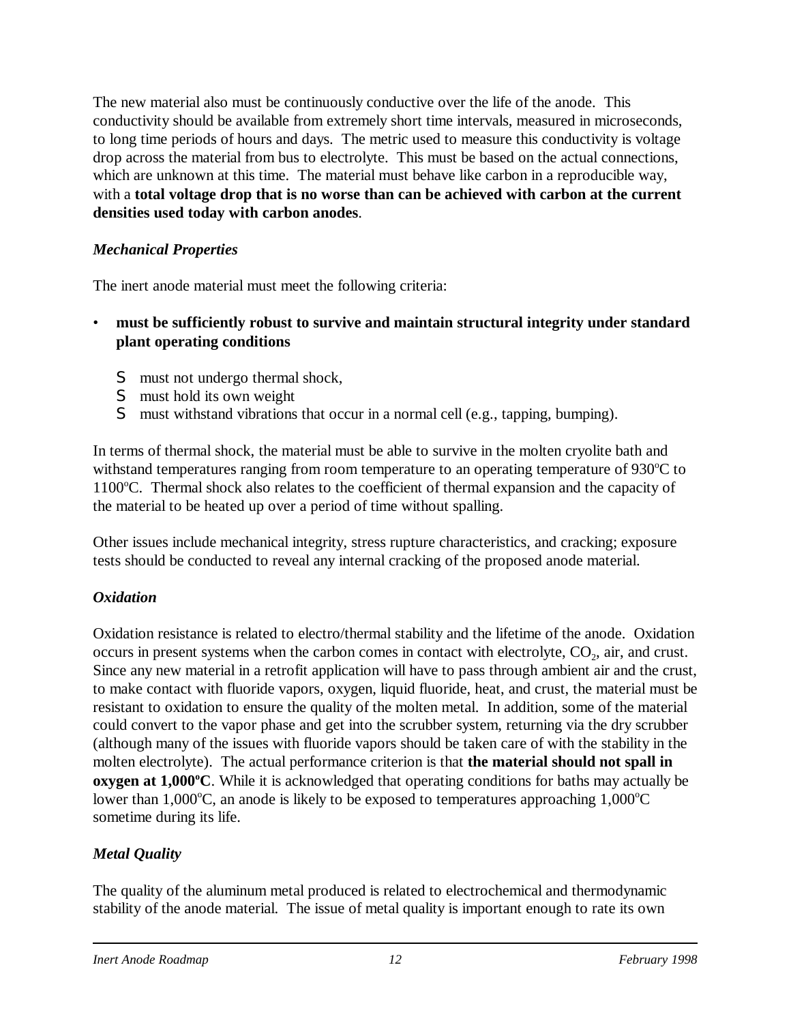The new material also must be continuously conductive over the life of the anode. This conductivity should be available from extremely short time intervals, measured in microseconds, to long time periods of hours and days. The metric used to measure this conductivity is voltage drop across the material from bus to electrolyte. This must be based on the actual connections, which are unknown at this time. The material must behave like carbon in a reproducible way, with a **total voltage drop that is no worse than can be achieved with carbon at the current densities used today with carbon anodes**.

#### *Mechanical Properties*

The inert anode material must meet the following criteria:

- **must be sufficiently robust to survive and maintain structural integrity under standard plant operating conditions**
	- S must not undergo thermal shock,
	- S must hold its own weight
	- S must withstand vibrations that occur in a normal cell (e.g., tapping, bumping).

In terms of thermal shock, the material must be able to survive in the molten cryolite bath and withstand temperatures ranging from room temperature to an operating temperature of  $930^{\circ}C$  to  $1100^{\circ}$ C. Thermal shock also relates to the coefficient of thermal expansion and the capacity of the material to be heated up over a period of time without spalling.

Other issues include mechanical integrity, stress rupture characteristics, and cracking; exposure tests should be conducted to reveal any internal cracking of the proposed anode material.

### *Oxidation*

Oxidation resistance is related to electro/thermal stability and the lifetime of the anode. Oxidation occurs in present systems when the carbon comes in contact with electrolyte, CO<sub>2</sub>, air, and crust. Since any new material in a retrofit application will have to pass through ambient air and the crust, to make contact with fluoride vapors, oxygen, liquid fluoride, heat, and crust, the material must be resistant to oxidation to ensure the quality of the molten metal. In addition, some of the material could convert to the vapor phase and get into the scrubber system, returning via the dry scrubber (although many of the issues with fluoride vapors should be taken care of with the stability in the molten electrolyte). The actual performance criterion is that **the material should not spall in oxygen at 1,000 °C**. While it is acknowledged that operating conditions for baths may actually be lower than 1,000°C, an anode is likely to be exposed to temperatures approaching  $1,000^{\circ}$ C sometime during its life.

#### *Metal Quality*

The quality of the aluminum metal produced is related to electrochemical and thermodynamic stability of the anode material. The issue of metal quality is important enough to rate its own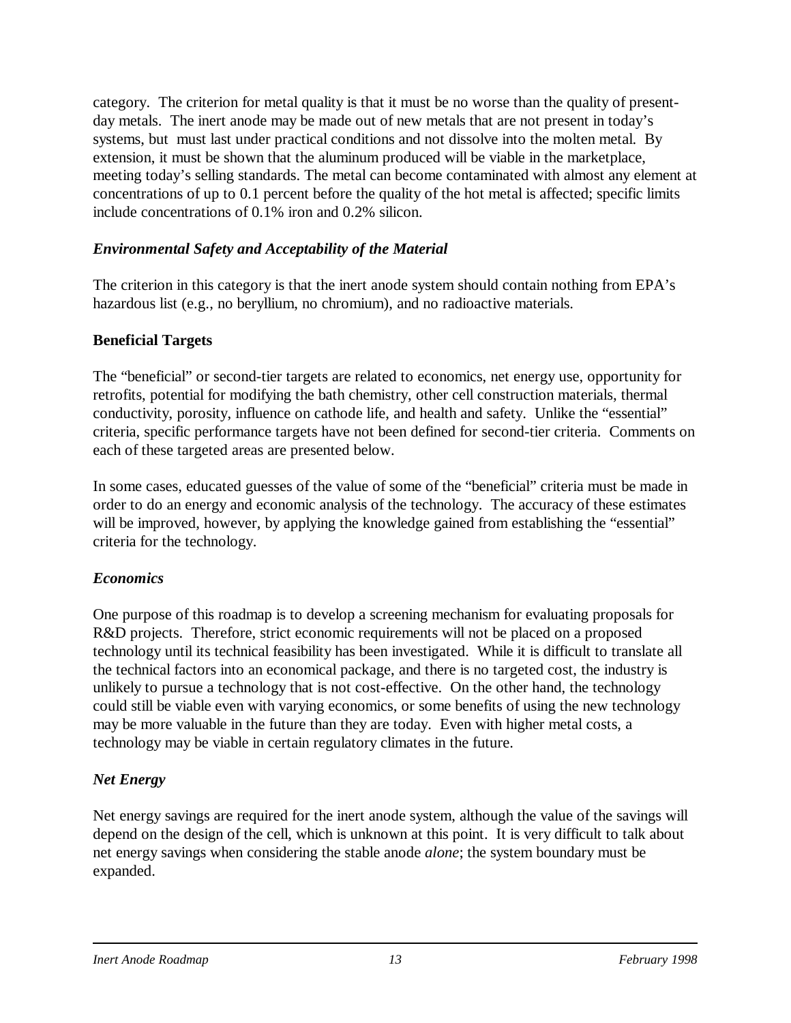category. The criterion for metal quality is that it must be no worse than the quality of presentday metals. The inert anode may be made out of new metals that are not present in today's systems, but must last under practical conditions and not dissolve into the molten metal. By extension, it must be shown that the aluminum produced will be viable in the marketplace, meeting today's selling standards. The metal can become contaminated with almost any element at concentrations of up to 0.1 percent before the quality of the hot metal is affected; specific limits include concentrations of 0.1% iron and 0.2% silicon.

#### *Environmental Safety and Acceptability of the Material*

The criterion in this category is that the inert anode system should contain nothing from EPA's hazardous list (e.g., no beryllium, no chromium), and no radioactive materials.

#### **Beneficial Targets**

The "beneficial" or second-tier targets are related to economics, net energy use, opportunity for retrofits, potential for modifying the bath chemistry, other cell construction materials, thermal conductivity, porosity, influence on cathode life, and health and safety. Unlike the "essential" criteria, specific performance targets have not been defined for second-tier criteria. Comments on each of these targeted areas are presented below.

In some cases, educated guesses of the value of some of the "beneficial" criteria must be made in order to do an energy and economic analysis of the technology. The accuracy of these estimates will be improved, however, by applying the knowledge gained from establishing the "essential" criteria for the technology.

#### *Economics*

One purpose of this roadmap is to develop a screening mechanism for evaluating proposals for R&D projects. Therefore, strict economic requirements will not be placed on a proposed technology until its technical feasibility has been investigated. While it is difficult to translate all the technical factors into an economical package, and there is no targeted cost, the industry is unlikely to pursue a technology that is not cost-effective. On the other hand, the technology could still be viable even with varying economics, or some benefits of using the new technology may be more valuable in the future than they are today. Even with higher metal costs, a technology may be viable in certain regulatory climates in the future.

### *Net Energy*

Net energy savings are required for the inert anode system, although the value of the savings will depend on the design of the cell, which is unknown at this point. It is very difficult to talk about net energy savings when considering the stable anode *alone*; the system boundary must be expanded.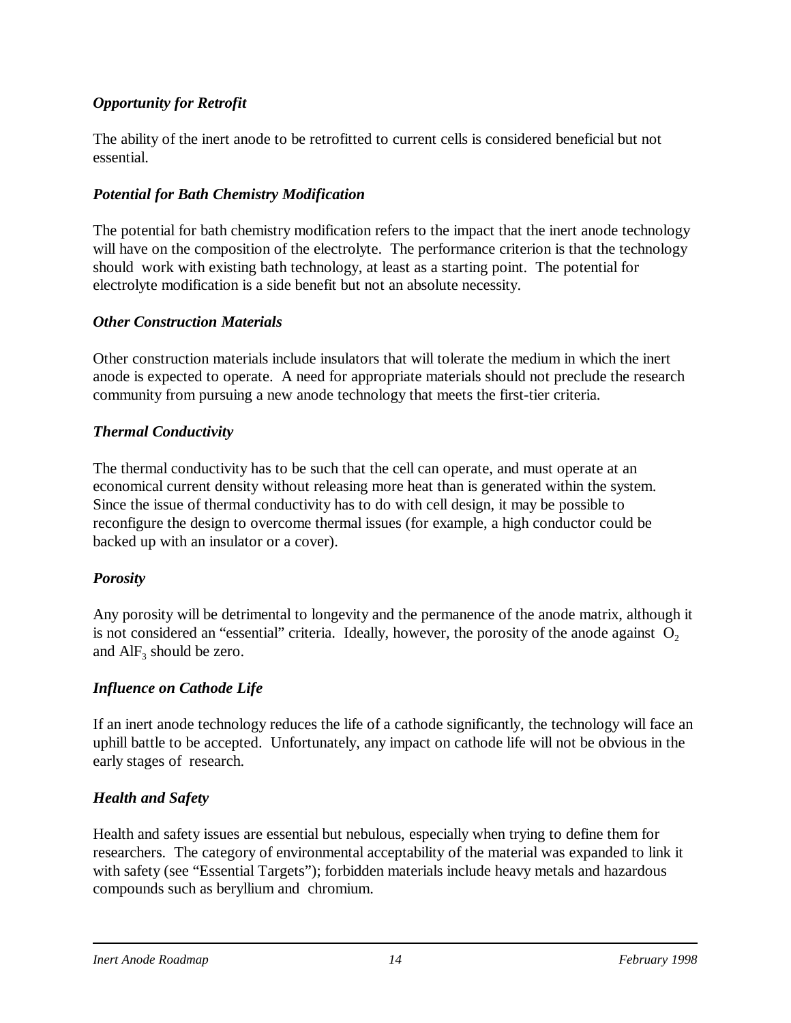#### *Opportunity for Retrofit*

The ability of the inert anode to be retrofitted to current cells is considered beneficial but not essential.

#### *Potential for Bath Chemistry Modification*

The potential for bath chemistry modification refers to the impact that the inert anode technology will have on the composition of the electrolyte. The performance criterion is that the technology should work with existing bath technology, at least as a starting point. The potential for electrolyte modification is a side benefit but not an absolute necessity.

#### *Other Construction Materials*

Other construction materials include insulators that will tolerate the medium in which the inert anode is expected to operate. A need for appropriate materials should not preclude the research community from pursuing a new anode technology that meets the first-tier criteria.

#### *Thermal Conductivity*

The thermal conductivity has to be such that the cell can operate, and must operate at an economical current density without releasing more heat than is generated within the system. Since the issue of thermal conductivity has to do with cell design, it may be possible to reconfigure the design to overcome thermal issues (for example, a high conductor could be backed up with an insulator or a cover).

#### *Porosity*

Any porosity will be detrimental to longevity and the permanence of the anode matrix, although it is not considered an "essential" criteria. Ideally, however, the porosity of the anode against  $O<sub>2</sub>$ and  $\text{AlF}_3$  should be zero.

### *Influence on Cathode Life*

If an inert anode technology reduces the life of a cathode significantly, the technology will face an uphill battle to be accepted. Unfortunately, any impact on cathode life will not be obvious in the early stages of research.

### *Health and Safety*

Health and safety issues are essential but nebulous, especially when trying to define them for researchers. The category of environmental acceptability of the material was expanded to link it with safety (see "Essential Targets"); forbidden materials include heavy metals and hazardous compounds such as beryllium and chromium.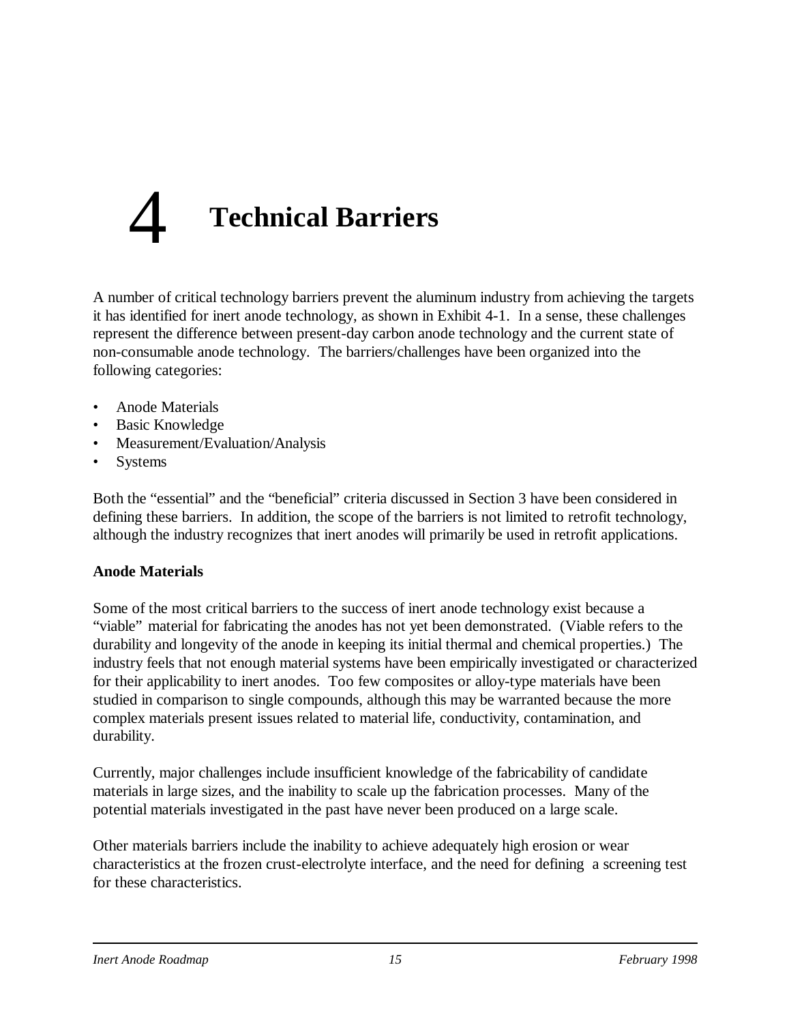# 4 **Technical Barriers**

A number of critical technology barriers prevent the aluminum industry from achieving the targets it has identified for inert anode technology, as shown in Exhibit 4-1. In a sense, these challenges represent the difference between present-day carbon anode technology and the current state of non-consumable anode technology. The barriers/challenges have been organized into the following categories:

- Anode Materials
- Basic Knowledge
- Measurement/Evaluation/Analysis
- **Systems**

Both the "essential" and the "beneficial" criteria discussed in Section 3 have been considered in defining these barriers. In addition, the scope of the barriers is not limited to retrofit technology, although the industry recognizes that inert anodes will primarily be used in retrofit applications.

#### **Anode Materials**

Some of the most critical barriers to the success of inert anode technology exist because a "viable" material for fabricating the anodes has not yet been demonstrated. (Viable refers to the durability and longevity of the anode in keeping its initial thermal and chemical properties.) The industry feels that not enough material systems have been empirically investigated or characterized for their applicability to inert anodes. Too few composites or alloy-type materials have been studied in comparison to single compounds, although this may be warranted because the more complex materials present issues related to material life, conductivity, contamination, and durability.

Currently, major challenges include insufficient knowledge of the fabricability of candidate materials in large sizes, and the inability to scale up the fabrication processes. Many of the potential materials investigated in the past have never been produced on a large scale.

Other materials barriers include the inability to achieve adequately high erosion or wear characteristics at the frozen crust-electrolyte interface, and the need for defining a screening test for these characteristics.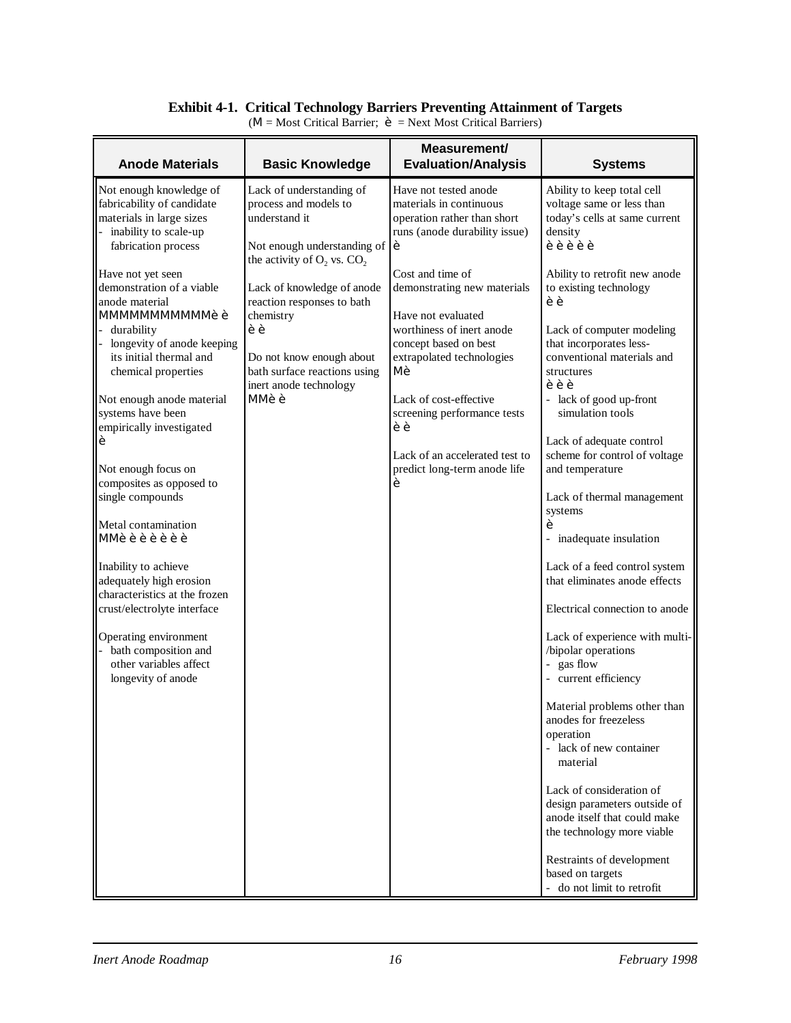#### **Exhibit 4-1. Critical Technology Barriers Preventing Attainment of Targets**

| <b>Anode Materials</b>                                                                                                                                                                                                                                                                                                                                                                                                                                                                                                                                                                                                                                                                                                                  | <b>Basic Knowledge</b>                                                                                                                                                                                                                                                                                                                | Measurement/<br><b>Evaluation/Analysis</b>                                                                                                                                                                                                                                                                                                                                                                                  | <b>Systems</b>                                                                                                                                                                                                                                                                                                                                                                                                                                                                                                                                                                                                                                                                                                                                                                                                                                                                                                                                                                                                                      |
|-----------------------------------------------------------------------------------------------------------------------------------------------------------------------------------------------------------------------------------------------------------------------------------------------------------------------------------------------------------------------------------------------------------------------------------------------------------------------------------------------------------------------------------------------------------------------------------------------------------------------------------------------------------------------------------------------------------------------------------------|---------------------------------------------------------------------------------------------------------------------------------------------------------------------------------------------------------------------------------------------------------------------------------------------------------------------------------------|-----------------------------------------------------------------------------------------------------------------------------------------------------------------------------------------------------------------------------------------------------------------------------------------------------------------------------------------------------------------------------------------------------------------------------|-------------------------------------------------------------------------------------------------------------------------------------------------------------------------------------------------------------------------------------------------------------------------------------------------------------------------------------------------------------------------------------------------------------------------------------------------------------------------------------------------------------------------------------------------------------------------------------------------------------------------------------------------------------------------------------------------------------------------------------------------------------------------------------------------------------------------------------------------------------------------------------------------------------------------------------------------------------------------------------------------------------------------------------|
| Not enough knowledge of<br>fabricability of candidate<br>materials in large sizes<br>inability to scale-up<br>fabrication process<br>Have not yet seen<br>demonstration of a viable<br>anode material<br><b>MMMMMMMMMM++</b><br>durability<br>longevity of anode keeping<br>its initial thermal and<br>chemical properties<br>Not enough anode material<br>systems have been<br>empirically investigated<br>Not enough focus on<br>composites as opposed to<br>single compounds<br>Metal contamination<br><b>MM</b><br>Inability to achieve<br>adequately high erosion<br>characteristics at the frozen<br>crust/electrolyte interface<br>Operating environment<br>bath composition and<br>other variables affect<br>longevity of anode | Lack of understanding of<br>process and models to<br>understand it<br>Not enough understanding of<br>the activity of $O_2$ vs. $CO_2$<br>Lack of knowledge of anode<br>reaction responses to bath<br>chemistry<br>$\bullet$<br>Do not know enough about<br>bath surface reactions using<br>inert anode technology<br>$MN \cdot \cdot$ | Have not tested anode<br>materials in continuous<br>operation rather than short<br>runs (anode durability issue)<br>Cost and time of<br>demonstrating new materials<br>Have not evaluated<br>worthiness of inert anode<br>concept based on best<br>extrapolated technologies<br>M .<br>Lack of cost-effective<br>screening performance tests<br>$\cdot$ .<br>Lack of an accelerated test to<br>predict long-term anode life | Ability to keep total cell<br>voltage same or less than<br>today's cells at same current<br>density<br>Ability to retrofit new anode<br>to existing technology<br>$\bullet$<br>Lack of computer modeling<br>that incorporates less-<br>conventional materials and<br>structures<br>$\ddot{\phantom{a}}$<br>- lack of good up-front<br>simulation tools<br>Lack of adequate control<br>scheme for control of voltage<br>and temperature<br>Lack of thermal management<br>systems<br>- inadequate insulation<br>Lack of a feed control system<br>that eliminates anode effects<br>Electrical connection to anode<br>Lack of experience with multi-<br>/bipolar operations<br>- gas flow<br>- current efficiency<br>Material problems other than<br>anodes for freezeless<br>operation<br>- lack of new container<br>material<br>Lack of consideration of<br>design parameters outside of<br>anode itself that could make<br>the technology more viable<br>Restraints of development<br>based on targets<br>- do not limit to retrofit |

 $(M = Most CriticalBarrier; \rightarrow = Next Most Critical Barriers)$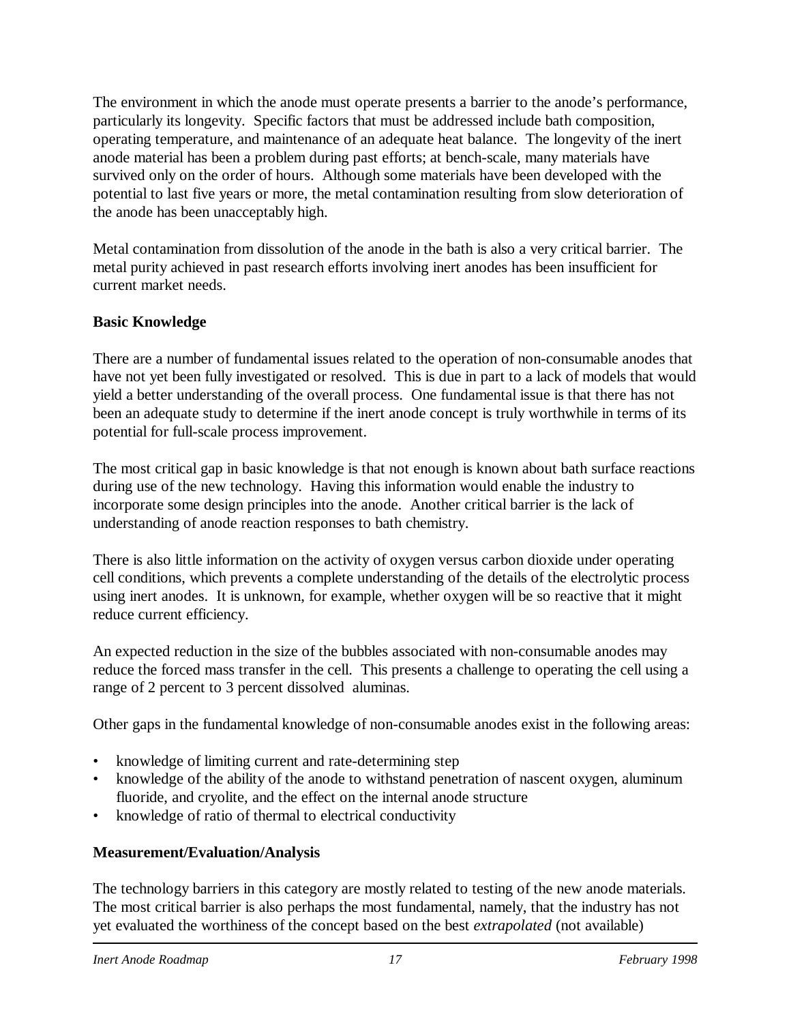The environment in which the anode must operate presents a barrier to the anode's performance, particularly its longevity. Specific factors that must be addressed include bath composition, operating temperature, and maintenance of an adequate heat balance. The longevity of the inert anode material has been a problem during past efforts; at bench-scale, many materials have survived only on the order of hours. Although some materials have been developed with the potential to last five years or more, the metal contamination resulting from slow deterioration of the anode has been unacceptably high.

Metal contamination from dissolution of the anode in the bath is also a very critical barrier. The metal purity achieved in past research efforts involving inert anodes has been insufficient for current market needs.

#### **Basic Knowledge**

There are a number of fundamental issues related to the operation of non-consumable anodes that have not yet been fully investigated or resolved. This is due in part to a lack of models that would yield a better understanding of the overall process. One fundamental issue is that there has not been an adequate study to determine if the inert anode concept is truly worthwhile in terms of its potential for full-scale process improvement.

The most critical gap in basic knowledge is that not enough is known about bath surface reactions during use of the new technology. Having this information would enable the industry to incorporate some design principles into the anode. Another critical barrier is the lack of understanding of anode reaction responses to bath chemistry.

There is also little information on the activity of oxygen versus carbon dioxide under operating cell conditions, which prevents a complete understanding of the details of the electrolytic process using inert anodes. It is unknown, for example, whether oxygen will be so reactive that it might reduce current efficiency.

An expected reduction in the size of the bubbles associated with non-consumable anodes may reduce the forced mass transfer in the cell. This presents a challenge to operating the cell using a range of 2 percent to 3 percent dissolved aluminas.

Other gaps in the fundamental knowledge of non-consumable anodes exist in the following areas:

- knowledge of limiting current and rate-determining step
- knowledge of the ability of the anode to withstand penetration of nascent oxygen, aluminum fluoride, and cryolite, and the effect on the internal anode structure
- knowledge of ratio of thermal to electrical conductivity

### **Measurement/Evaluation/Analysis**

The technology barriers in this category are mostly related to testing of the new anode materials. The most critical barrier is also perhaps the most fundamental, namely, that the industry has not yet evaluated the worthiness of the concept based on the best *extrapolated* (not available)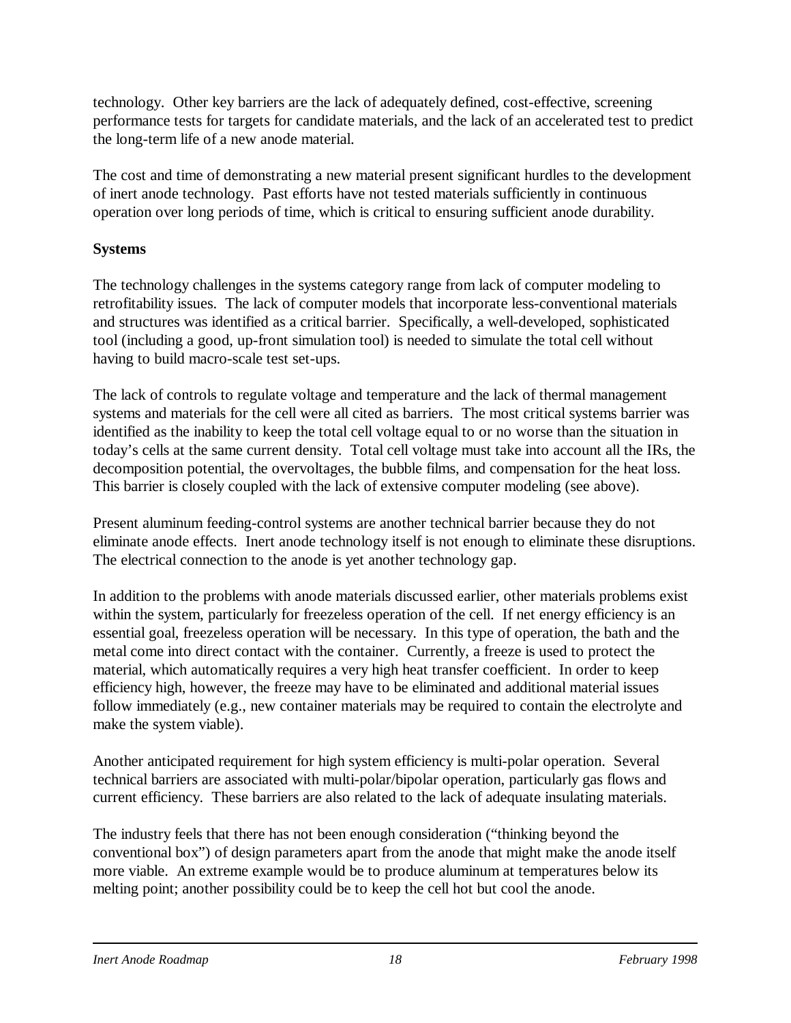technology. Other key barriers are the lack of adequately defined, cost-effective, screening performance tests for targets for candidate materials, and the lack of an accelerated test to predict the long-term life of a new anode material.

The cost and time of demonstrating a new material present significant hurdles to the development of inert anode technology. Past efforts have not tested materials sufficiently in continuous operation over long periods of time, which is critical to ensuring sufficient anode durability.

### **Systems**

The technology challenges in the systems category range from lack of computer modeling to retrofitability issues. The lack of computer models that incorporate less-conventional materials and structures was identified as a critical barrier. Specifically, a well-developed, sophisticated tool (including a good, up-front simulation tool) is needed to simulate the total cell without having to build macro-scale test set-ups.

The lack of controls to regulate voltage and temperature and the lack of thermal management systems and materials for the cell were all cited as barriers. The most critical systems barrier was identified as the inability to keep the total cell voltage equal to or no worse than the situation in today's cells at the same current density. Total cell voltage must take into account all the IRs, the decomposition potential, the overvoltages, the bubble films, and compensation for the heat loss. This barrier is closely coupled with the lack of extensive computer modeling (see above).

Present aluminum feeding-control systems are another technical barrier because they do not eliminate anode effects. Inert anode technology itself is not enough to eliminate these disruptions. The electrical connection to the anode is yet another technology gap.

In addition to the problems with anode materials discussed earlier, other materials problems exist within the system, particularly for freezeless operation of the cell. If net energy efficiency is an essential goal, freezeless operation will be necessary. In this type of operation, the bath and the metal come into direct contact with the container. Currently, a freeze is used to protect the material, which automatically requires a very high heat transfer coefficient. In order to keep efficiency high, however, the freeze may have to be eliminated and additional material issues follow immediately (e.g., new container materials may be required to contain the electrolyte and make the system viable).

Another anticipated requirement for high system efficiency is multi-polar operation. Several technical barriers are associated with multi-polar/bipolar operation, particularly gas flows and current efficiency. These barriers are also related to the lack of adequate insulating materials.

The industry feels that there has not been enough consideration ("thinking beyond the conventional box") of design parameters apart from the anode that might make the anode itself more viable. An extreme example would be to produce aluminum at temperatures below its melting point; another possibility could be to keep the cell hot but cool the anode.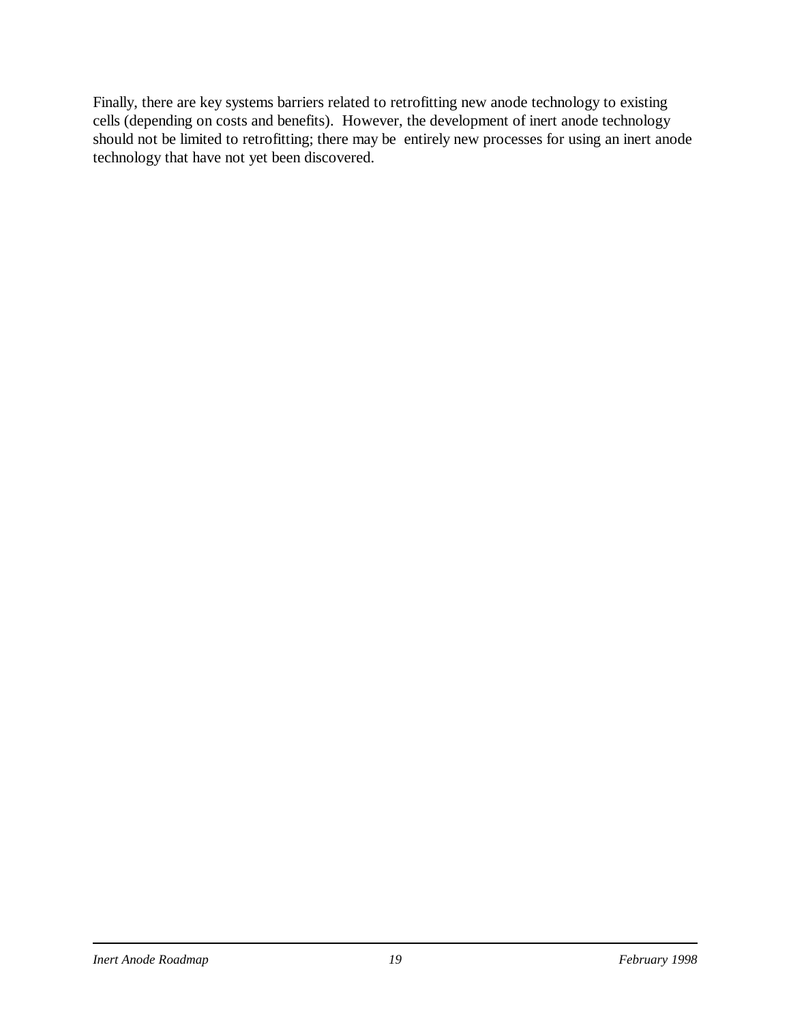Finally, there are key systems barriers related to retrofitting new anode technology to existing cells (depending on costs and benefits). However, the development of inert anode technology should not be limited to retrofitting; there may be entirely new processes for using an inert anode technology that have not yet been discovered.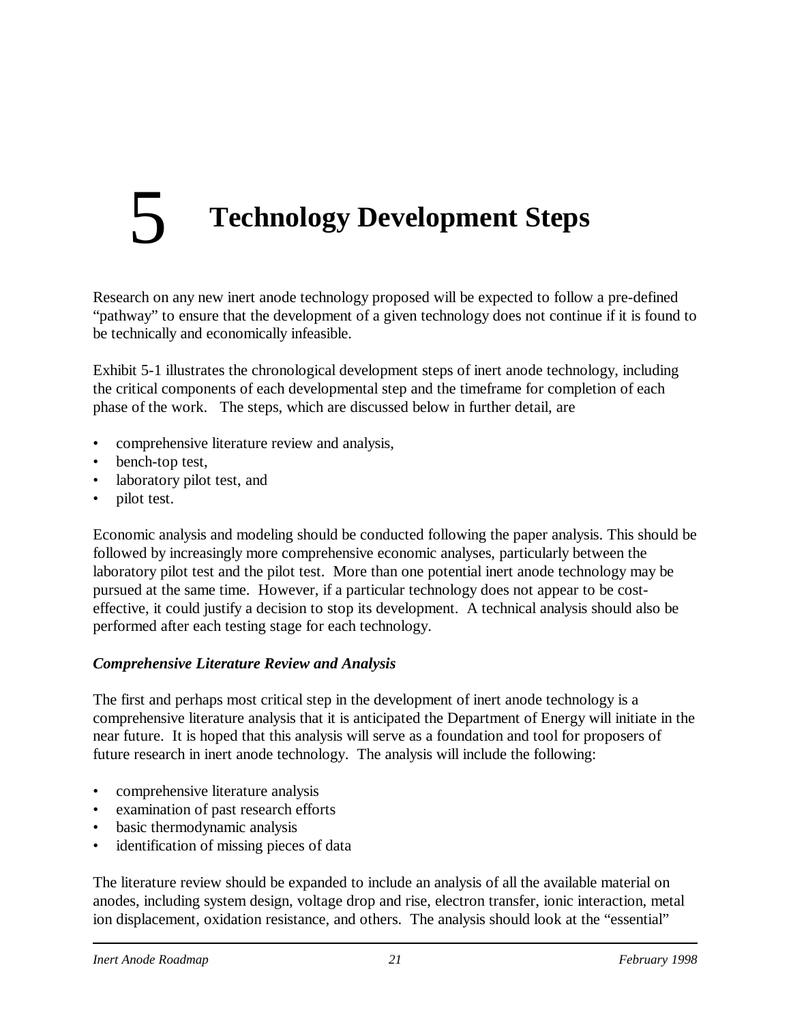# 5 **Technology Development Steps**

Research on any new inert anode technology proposed will be expected to follow a pre-defined "pathway" to ensure that the development of a given technology does not continue if it is found to be technically and economically infeasible.

Exhibit 5-1 illustrates the chronological development steps of inert anode technology, including the critical components of each developmental step and the timeframe for completion of each phase of the work. The steps, which are discussed below in further detail, are

- comprehensive literature review and analysis,
- bench-top test,
- laboratory pilot test, and
- pilot test.

Economic analysis and modeling should be conducted following the paper analysis. This should be followed by increasingly more comprehensive economic analyses, particularly between the laboratory pilot test and the pilot test. More than one potential inert anode technology may be pursued at the same time. However, if a particular technology does not appear to be costeffective, it could justify a decision to stop its development. A technical analysis should also be performed after each testing stage for each technology.

#### *Comprehensive Literature Review and Analysis*

The first and perhaps most critical step in the development of inert anode technology is a comprehensive literature analysis that it is anticipated the Department of Energy will initiate in the near future. It is hoped that this analysis will serve as a foundation and tool for proposers of future research in inert anode technology. The analysis will include the following:

- comprehensive literature analysis
- examination of past research efforts
- basic thermodynamic analysis
- identification of missing pieces of data

The literature review should be expanded to include an analysis of all the available material on anodes, including system design, voltage drop and rise, electron transfer, ionic interaction, metal ion displacement, oxidation resistance, and others. The analysis should look at the "essential"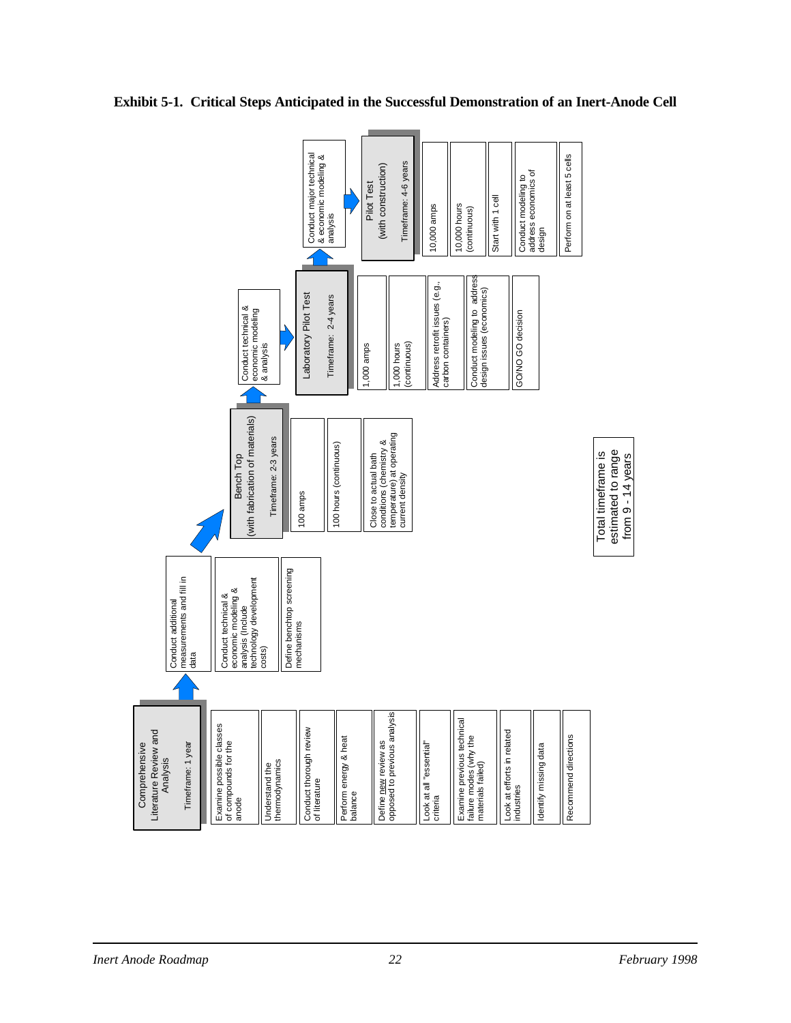

**Exhibit 5-1. Critical Steps Anticipated in the Successful Demonstration of an Inert-Anode Cell**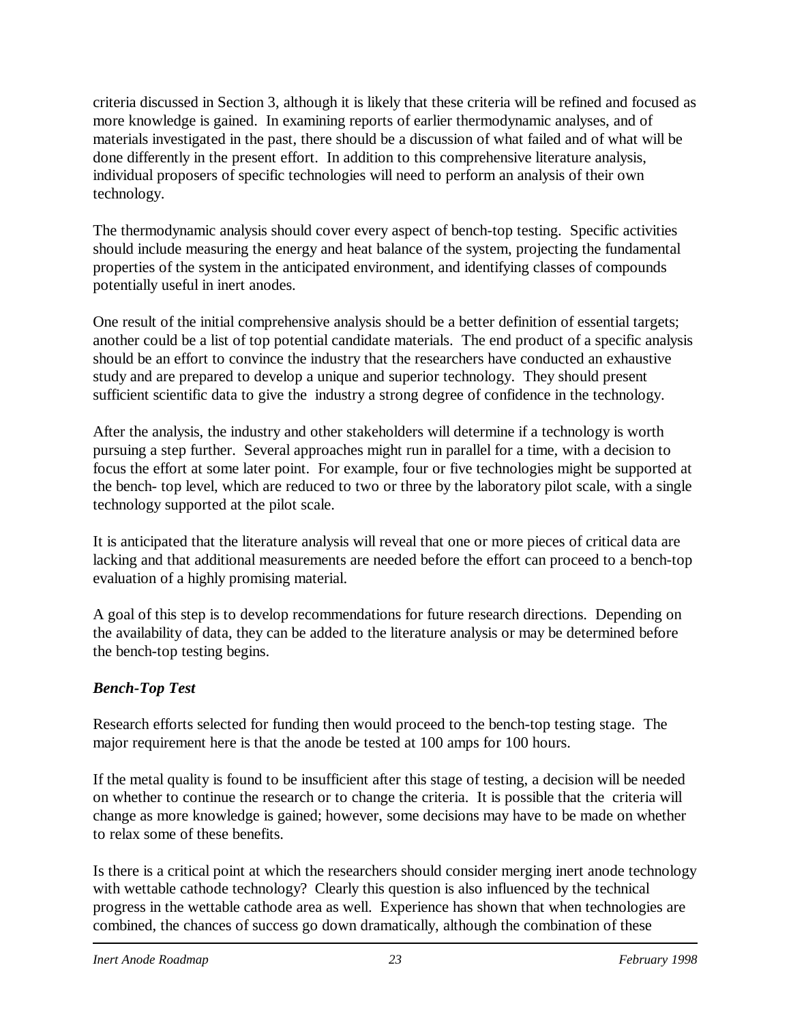criteria discussed in Section 3, although it is likely that these criteria will be refined and focused as more knowledge is gained. In examining reports of earlier thermodynamic analyses, and of materials investigated in the past, there should be a discussion of what failed and of what will be done differently in the present effort. In addition to this comprehensive literature analysis, individual proposers of specific technologies will need to perform an analysis of their own technology.

The thermodynamic analysis should cover every aspect of bench-top testing. Specific activities should include measuring the energy and heat balance of the system, projecting the fundamental properties of the system in the anticipated environment, and identifying classes of compounds potentially useful in inert anodes.

One result of the initial comprehensive analysis should be a better definition of essential targets; another could be a list of top potential candidate materials. The end product of a specific analysis should be an effort to convince the industry that the researchers have conducted an exhaustive study and are prepared to develop a unique and superior technology. They should present sufficient scientific data to give the industry a strong degree of confidence in the technology.

After the analysis, the industry and other stakeholders will determine if a technology is worth pursuing a step further. Several approaches might run in parallel for a time, with a decision to focus the effort at some later point. For example, four or five technologies might be supported at the bench- top level, which are reduced to two or three by the laboratory pilot scale, with a single technology supported at the pilot scale.

It is anticipated that the literature analysis will reveal that one or more pieces of critical data are lacking and that additional measurements are needed before the effort can proceed to a bench-top evaluation of a highly promising material.

A goal of this step is to develop recommendations for future research directions. Depending on the availability of data, they can be added to the literature analysis or may be determined before the bench-top testing begins.

### *Bench-Top Test*

Research efforts selected for funding then would proceed to the bench-top testing stage. The major requirement here is that the anode be tested at 100 amps for 100 hours.

If the metal quality is found to be insufficient after this stage of testing, a decision will be needed on whether to continue the research or to change the criteria. It is possible that the criteria will change as more knowledge is gained; however, some decisions may have to be made on whether to relax some of these benefits.

Is there is a critical point at which the researchers should consider merging inert anode technology with wettable cathode technology? Clearly this question is also influenced by the technical progress in the wettable cathode area as well. Experience has shown that when technologies are combined, the chances of success go down dramatically, although the combination of these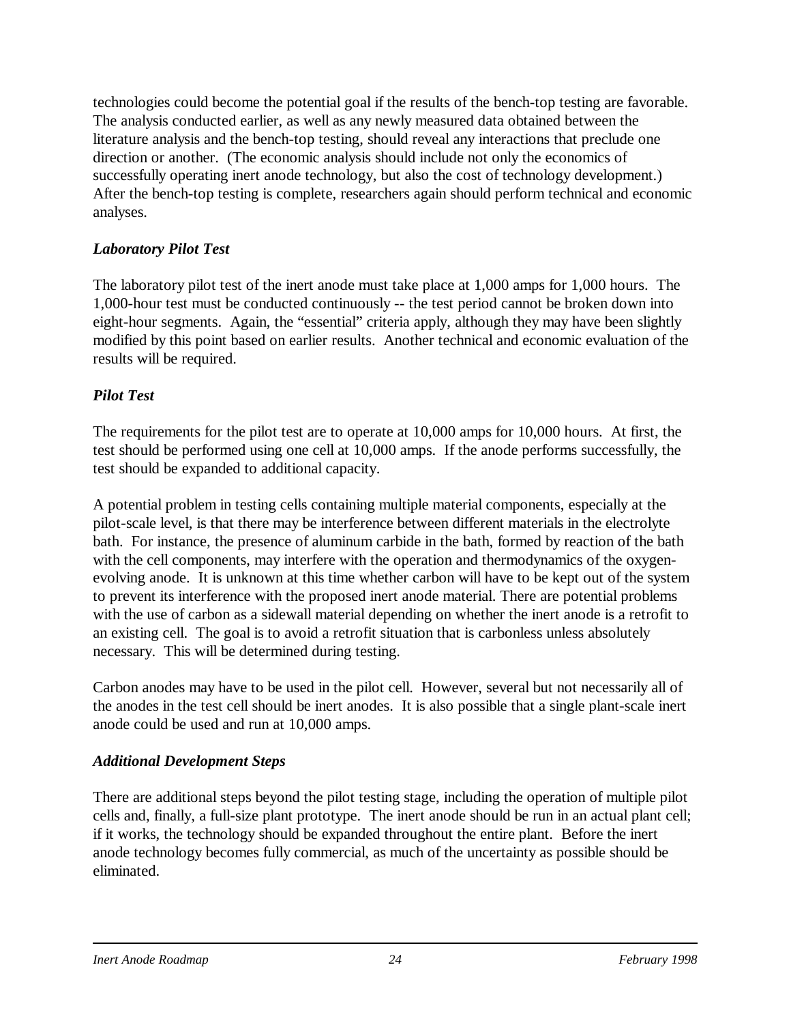technologies could become the potential goal if the results of the bench-top testing are favorable. The analysis conducted earlier, as well as any newly measured data obtained between the literature analysis and the bench-top testing, should reveal any interactions that preclude one direction or another. (The economic analysis should include not only the economics of successfully operating inert anode technology, but also the cost of technology development.) After the bench-top testing is complete, researchers again should perform technical and economic analyses.

#### *Laboratory Pilot Test*

The laboratory pilot test of the inert anode must take place at 1,000 amps for 1,000 hours. The 1,000-hour test must be conducted continuously -- the test period cannot be broken down into eight-hour segments. Again, the "essential" criteria apply, although they may have been slightly modified by this point based on earlier results. Another technical and economic evaluation of the results will be required.

### *Pilot Test*

The requirements for the pilot test are to operate at 10,000 amps for 10,000 hours. At first, the test should be performed using one cell at 10,000 amps. If the anode performs successfully, the test should be expanded to additional capacity.

A potential problem in testing cells containing multiple material components, especially at the pilot-scale level, is that there may be interference between different materials in the electrolyte bath. For instance, the presence of aluminum carbide in the bath, formed by reaction of the bath with the cell components, may interfere with the operation and thermodynamics of the oxygenevolving anode. It is unknown at this time whether carbon will have to be kept out of the system to prevent its interference with the proposed inert anode material. There are potential problems with the use of carbon as a sidewall material depending on whether the inert anode is a retrofit to an existing cell. The goal is to avoid a retrofit situation that is carbonless unless absolutely necessary. This will be determined during testing.

Carbon anodes may have to be used in the pilot cell. However, several but not necessarily all of the anodes in the test cell should be inert anodes. It is also possible that a single plant-scale inert anode could be used and run at 10,000 amps.

### *Additional Development Steps*

There are additional steps beyond the pilot testing stage, including the operation of multiple pilot cells and, finally, a full-size plant prototype. The inert anode should be run in an actual plant cell; if it works, the technology should be expanded throughout the entire plant. Before the inert anode technology becomes fully commercial, as much of the uncertainty as possible should be eliminated.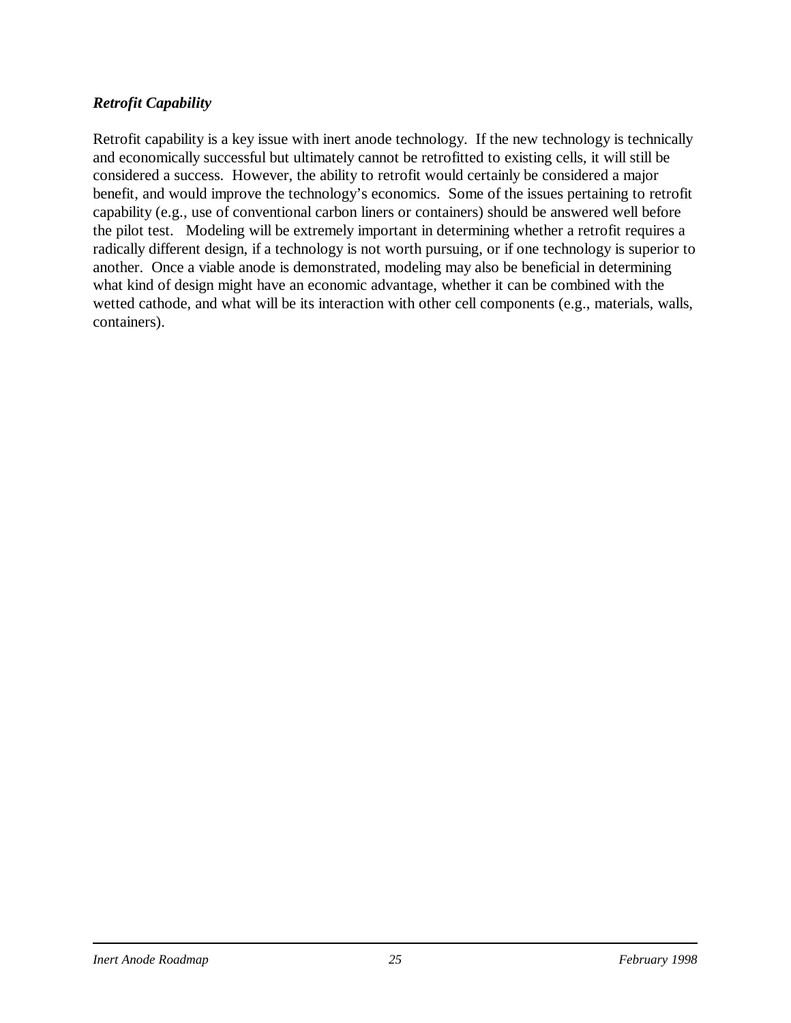#### *Retrofit Capability*

Retrofit capability is a key issue with inert anode technology. If the new technology is technically and economically successful but ultimately cannot be retrofitted to existing cells, it will still be considered a success. However, the ability to retrofit would certainly be considered a major benefit, and would improve the technology's economics. Some of the issues pertaining to retrofit capability (e.g., use of conventional carbon liners or containers) should be answered well before the pilot test. Modeling will be extremely important in determining whether a retrofit requires a radically different design, if a technology is not worth pursuing, or if one technology is superior to another. Once a viable anode is demonstrated, modeling may also be beneficial in determining what kind of design might have an economic advantage, whether it can be combined with the wetted cathode, and what will be its interaction with other cell components (e.g., materials, walls, containers).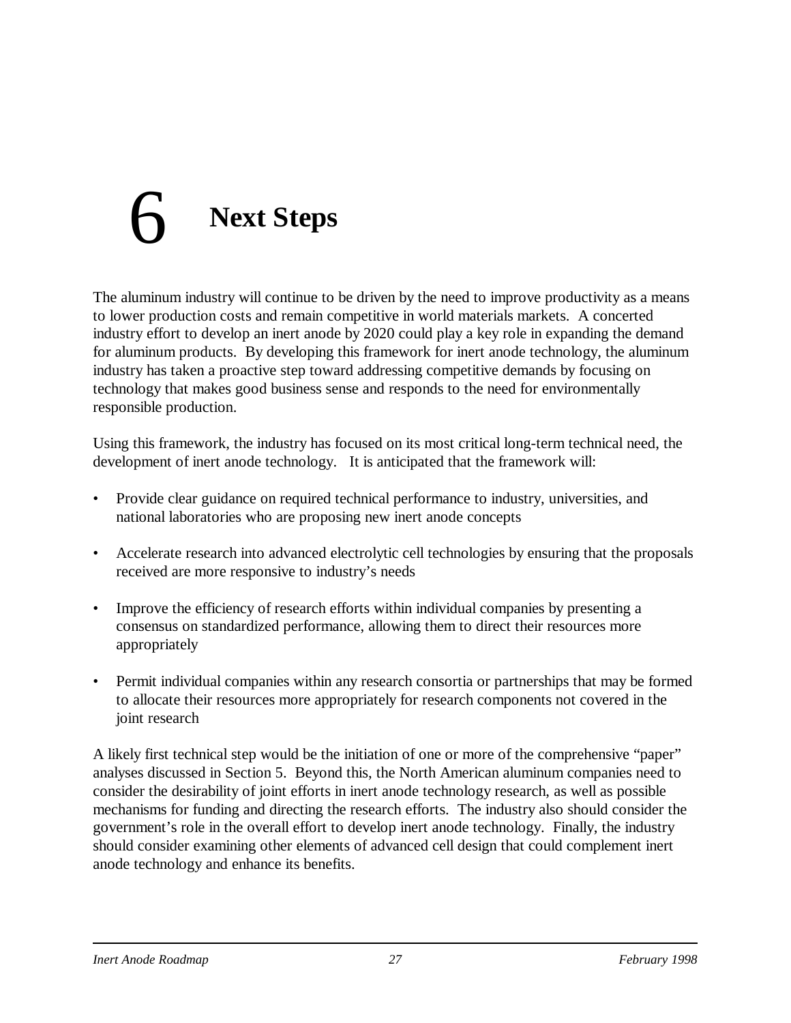# 6 **Next Steps**

The aluminum industry will continue to be driven by the need to improve productivity as a means to lower production costs and remain competitive in world materials markets. A concerted industry effort to develop an inert anode by 2020 could play a key role in expanding the demand for aluminum products. By developing this framework for inert anode technology, the aluminum industry has taken a proactive step toward addressing competitive demands by focusing on technology that makes good business sense and responds to the need for environmentally responsible production.

Using this framework, the industry has focused on its most critical long-term technical need, the development of inert anode technology. It is anticipated that the framework will:

- Provide clear guidance on required technical performance to industry, universities, and national laboratories who are proposing new inert anode concepts
- Accelerate research into advanced electrolytic cell technologies by ensuring that the proposals received are more responsive to industry's needs
- Improve the efficiency of research efforts within individual companies by presenting a consensus on standardized performance, allowing them to direct their resources more appropriately
- Permit individual companies within any research consortia or partnerships that may be formed to allocate their resources more appropriately for research components not covered in the joint research

A likely first technical step would be the initiation of one or more of the comprehensive "paper" analyses discussed in Section 5. Beyond this, the North American aluminum companies need to consider the desirability of joint efforts in inert anode technology research, as well as possible mechanisms for funding and directing the research efforts. The industry also should consider the government's role in the overall effort to develop inert anode technology. Finally, the industry should consider examining other elements of advanced cell design that could complement inert anode technology and enhance its benefits.